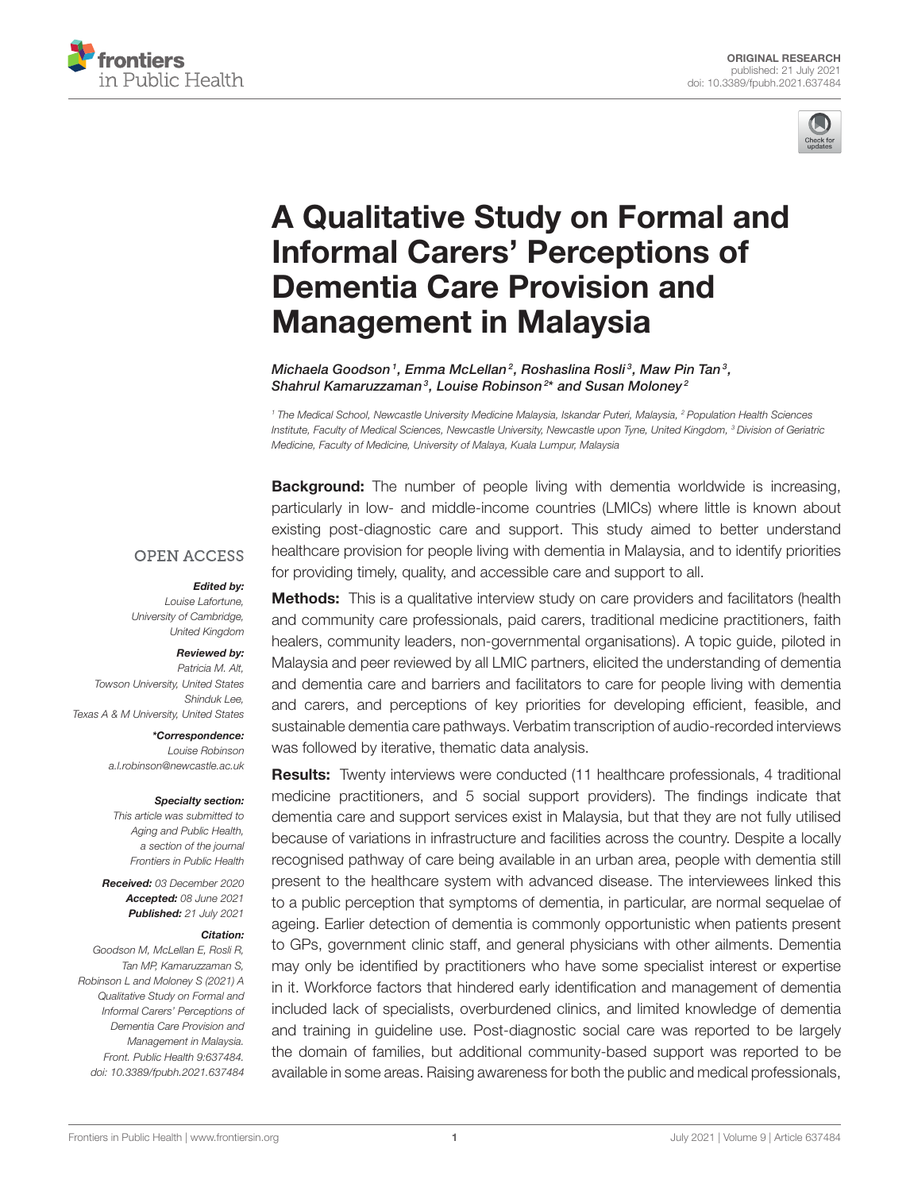



# [A Qualitative Study on Formal and](https://www.frontiersin.org/articles/10.3389/fpubh.2021.637484/full) Informal Carers' Perceptions of Dementia Care Provision and Management in Malaysia

Michaela Goodson $^{\textrm{\textit{1}}},$  Emma McLellan $^{\textrm{\textit{2}}},$  Roshaslina Rosli $^{\textrm{\textit{3}}},$  Maw Pin Tan $^{\textrm{\textit{3}}},$ Shahrul Kamaruzzaman<sup>3</sup>, Louise Robinson<sup>2\*</sup> and Susan Moloney<sup>2</sup>

*<sup>1</sup> The Medical School, Newcastle University Medicine Malaysia, Iskandar Puteri, Malaysia, <sup>2</sup> Population Health Sciences Institute, Faculty of Medical Sciences, Newcastle University, Newcastle upon Tyne, United Kingdom, <sup>3</sup> Division of Geriatric Medicine, Faculty of Medicine, University of Malaya, Kuala Lumpur, Malaysia*

**Background:** The number of people living with dementia worldwide is increasing, particularly in low- and middle-income countries (LMICs) where little is known about existing post-diagnostic care and support. This study aimed to better understand healthcare provision for people living with dementia in Malaysia, and to identify priorities for providing timely, quality, and accessible care and support to all.

#### **OPEN ACCESS**

#### Edited by:

*Louise Lafortune, University of Cambridge, United Kingdom*

#### Reviewed by:

*Patricia M. Alt, Towson University, United States Shinduk Lee, Texas A & M University, United States*

> \*Correspondence: *Louise Robinson [a.l.robinson@newcastle.ac.uk](mailto:a.l.robinson@newcastle.ac.uk)*

#### Specialty section:

*This article was submitted to Aging and Public Health, a section of the journal Frontiers in Public Health*

Received: *03 December 2020* Accepted: *08 June 2021* Published: *21 July 2021*

#### Citation:

*Goodson M, McLellan E, Rosli R, Tan MP, Kamaruzzaman S, Robinson L and Moloney S (2021) A Qualitative Study on Formal and Informal Carers' Perceptions of Dementia Care Provision and Management in Malaysia. Front. Public Health 9:637484. doi: [10.3389/fpubh.2021.637484](https://doi.org/10.3389/fpubh.2021.637484)*

**Methods:** This is a qualitative interview study on care providers and facilitators (health and community care professionals, paid carers, traditional medicine practitioners, faith healers, community leaders, non-governmental organisations). A topic guide, piloted in Malaysia and peer reviewed by all LMIC partners, elicited the understanding of dementia and dementia care and barriers and facilitators to care for people living with dementia and carers, and perceptions of key priorities for developing efficient, feasible, and sustainable dementia care pathways. Verbatim transcription of audio-recorded interviews was followed by iterative, thematic data analysis.

Results: Twenty interviews were conducted (11 healthcare professionals, 4 traditional medicine practitioners, and 5 social support providers). The findings indicate that dementia care and support services exist in Malaysia, but that they are not fully utilised because of variations in infrastructure and facilities across the country. Despite a locally recognised pathway of care being available in an urban area, people with dementia still present to the healthcare system with advanced disease. The interviewees linked this to a public perception that symptoms of dementia, in particular, are normal sequelae of ageing. Earlier detection of dementia is commonly opportunistic when patients present to GPs, government clinic staff, and general physicians with other ailments. Dementia may only be identified by practitioners who have some specialist interest or expertise in it. Workforce factors that hindered early identification and management of dementia included lack of specialists, overburdened clinics, and limited knowledge of dementia and training in guideline use. Post-diagnostic social care was reported to be largely the domain of families, but additional community-based support was reported to be available in some areas. Raising awareness for both the public and medical professionals,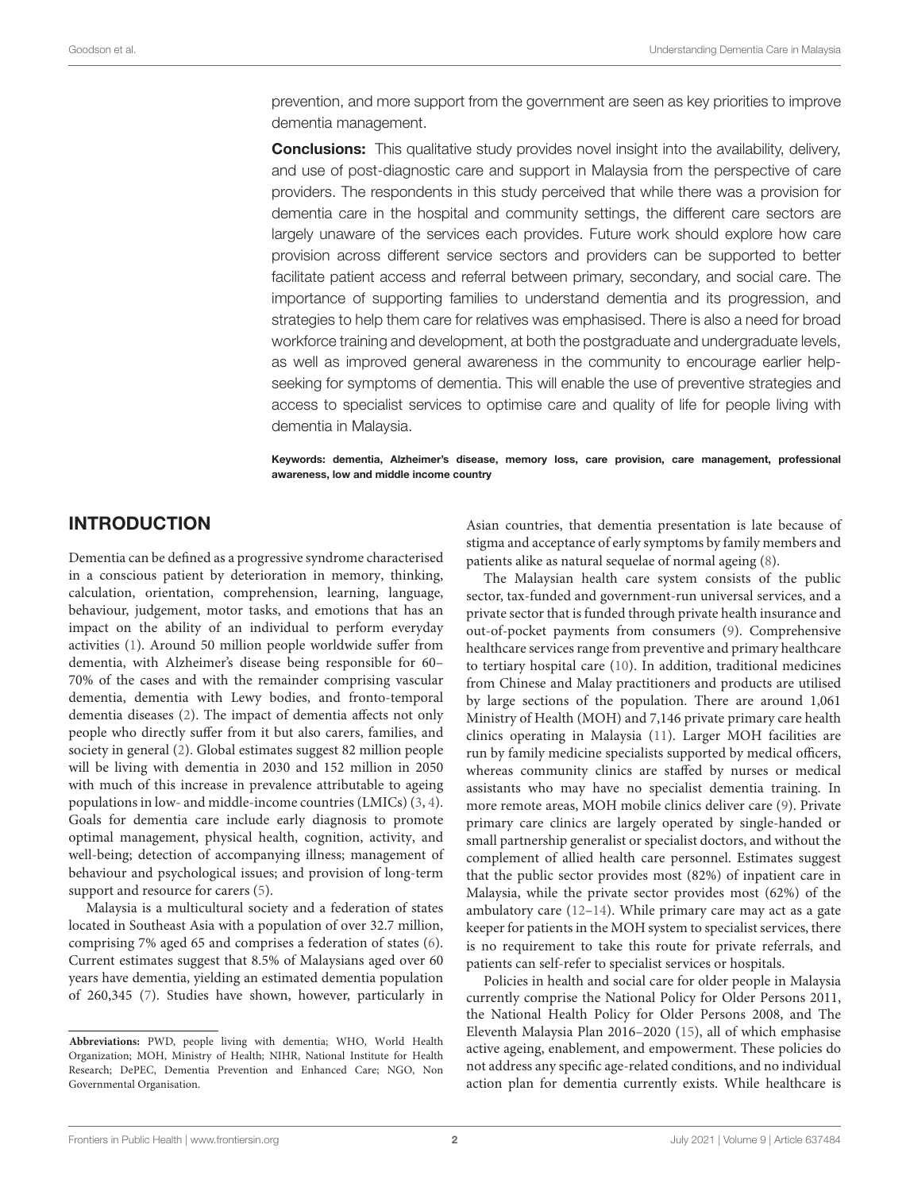prevention, and more support from the government are seen as key priorities to improve dementia management.

**Conclusions:** This qualitative study provides novel insight into the availability, delivery, and use of post-diagnostic care and support in Malaysia from the perspective of care providers. The respondents in this study perceived that while there was a provision for dementia care in the hospital and community settings, the different care sectors are largely unaware of the services each provides. Future work should explore how care provision across different service sectors and providers can be supported to better facilitate patient access and referral between primary, secondary, and social care. The importance of supporting families to understand dementia and its progression, and strategies to help them care for relatives was emphasised. There is also a need for broad workforce training and development, at both the postgraduate and undergraduate levels, as well as improved general awareness in the community to encourage earlier helpseeking for symptoms of dementia. This will enable the use of preventive strategies and access to specialist services to optimise care and quality of life for people living with dementia in Malaysia.

Keywords: dementia, Alzheimer's disease, memory loss, care provision, care management, professional awareness, low and middle income country

### INTRODUCTION

Dementia can be defined as a progressive syndrome characterised in a conscious patient by deterioration in memory, thinking, calculation, orientation, comprehension, learning, language, behaviour, judgement, motor tasks, and emotions that has an impact on the ability of an individual to perform everyday activities [\(1\)](#page-13-0). Around 50 million people worldwide suffer from dementia, with Alzheimer's disease being responsible for 60– 70% of the cases and with the remainder comprising vascular dementia, dementia with Lewy bodies, and fronto-temporal dementia diseases [\(2\)](#page-13-1). The impact of dementia affects not only people who directly suffer from it but also carers, families, and society in general [\(2\)](#page-13-1). Global estimates suggest 82 million people will be living with dementia in 2030 and 152 million in 2050 with much of this increase in prevalence attributable to ageing populations in low- and middle-income countries (LMICs) [\(3,](#page-13-2) [4\)](#page-13-3). Goals for dementia care include early diagnosis to promote optimal management, physical health, cognition, activity, and well-being; detection of accompanying illness; management of behaviour and psychological issues; and provision of long-term support and resource for carers  $(5)$ .

Malaysia is a multicultural society and a federation of states located in Southeast Asia with a population of over 32.7 million, comprising 7% aged 65 and comprises a federation of states [\(6\)](#page-13-5). Current estimates suggest that 8.5% of Malaysians aged over 60 years have dementia, yielding an estimated dementia population of 260,345 [\(7\)](#page-14-0). Studies have shown, however, particularly in Asian countries, that dementia presentation is late because of stigma and acceptance of early symptoms by family members and patients alike as natural sequelae of normal ageing [\(8\)](#page-14-1).

The Malaysian health care system consists of the public sector, tax-funded and government-run universal services, and a private sector that is funded through private health insurance and out-of-pocket payments from consumers [\(9\)](#page-14-2). Comprehensive healthcare services range from preventive and primary healthcare to tertiary hospital care [\(10\)](#page-14-3). In addition, traditional medicines from Chinese and Malay practitioners and products are utilised by large sections of the population. There are around 1,061 Ministry of Health (MOH) and 7,146 private primary care health clinics operating in Malaysia [\(11\)](#page-14-4). Larger MOH facilities are run by family medicine specialists supported by medical officers, whereas community clinics are staffed by nurses or medical assistants who may have no specialist dementia training. In more remote areas, MOH mobile clinics deliver care [\(9\)](#page-14-2). Private primary care clinics are largely operated by single-handed or small partnership generalist or specialist doctors, and without the complement of allied health care personnel. Estimates suggest that the public sector provides most (82%) of inpatient care in Malaysia, while the private sector provides most (62%) of the ambulatory care [\(12–](#page-14-5)[14\)](#page-14-6). While primary care may act as a gate keeper for patients in the MOH system to specialist services, there is no requirement to take this route for private referrals, and patients can self-refer to specialist services or hospitals.

Policies in health and social care for older people in Malaysia currently comprise the National Policy for Older Persons 2011, the National Health Policy for Older Persons 2008, and The Eleventh Malaysia Plan 2016–2020 [\(15\)](#page-14-7), all of which emphasise active ageing, enablement, and empowerment. These policies do not address any specific age-related conditions, and no individual action plan for dementia currently exists. While healthcare is

**Abbreviations:** PWD, people living with dementia; WHO, World Health Organization; MOH, Ministry of Health; NIHR, National Institute for Health Research; DePEC, Dementia Prevention and Enhanced Care; NGO, Non Governmental Organisation.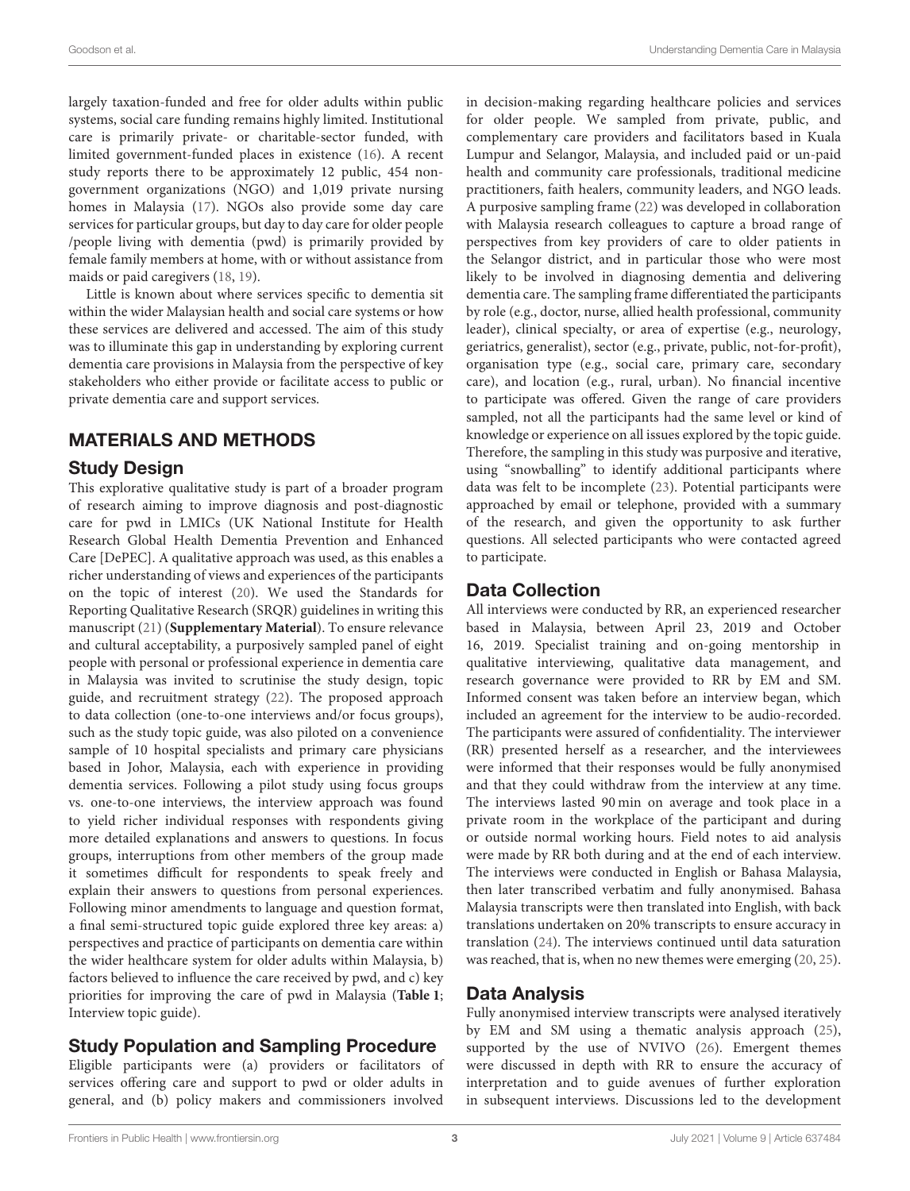largely taxation-funded and free for older adults within public systems, social care funding remains highly limited. Institutional care is primarily private- or charitable-sector funded, with limited government-funded places in existence [\(16\)](#page-14-8). A recent study reports there to be approximately 12 public, 454 nongovernment organizations (NGO) and 1,019 private nursing homes in Malaysia [\(17\)](#page-14-9). NGOs also provide some day care services for particular groups, but day to day care for older people /people living with dementia (pwd) is primarily provided by female family members at home, with or without assistance from maids or paid caregivers [\(18,](#page-14-10) [19\)](#page-14-11).

Little is known about where services specific to dementia sit within the wider Malaysian health and social care systems or how these services are delivered and accessed. The aim of this study was to illuminate this gap in understanding by exploring current dementia care provisions in Malaysia from the perspective of key stakeholders who either provide or facilitate access to public or private dementia care and support services.

# MATERIALS AND METHODS

### Study Design

This explorative qualitative study is part of a broader program of research aiming to improve diagnosis and post-diagnostic care for pwd in LMICs (UK National Institute for Health Research Global Health Dementia Prevention and Enhanced Care [DePEC]. A qualitative approach was used, as this enables a richer understanding of views and experiences of the participants on the topic of interest [\(20\)](#page-14-12). We used the Standards for Reporting Qualitative Research (SRQR) guidelines in writing this manuscript [\(21\)](#page-14-13) (**[Supplementary Material](#page-13-6)**). To ensure relevance and cultural acceptability, a purposively sampled panel of eight people with personal or professional experience in dementia care in Malaysia was invited to scrutinise the study design, topic guide, and recruitment strategy [\(22\)](#page-14-14). The proposed approach to data collection (one-to-one interviews and/or focus groups), such as the study topic guide, was also piloted on a convenience sample of 10 hospital specialists and primary care physicians based in Johor, Malaysia, each with experience in providing dementia services. Following a pilot study using focus groups vs. one-to-one interviews, the interview approach was found to yield richer individual responses with respondents giving more detailed explanations and answers to questions. In focus groups, interruptions from other members of the group made it sometimes difficult for respondents to speak freely and explain their answers to questions from personal experiences. Following minor amendments to language and question format, a final semi-structured topic guide explored three key areas: a) perspectives and practice of participants on dementia care within the wider healthcare system for older adults within Malaysia, b) factors believed to influence the care received by pwd, and c) key priorities for improving the care of pwd in Malaysia (**[Table 1](#page-3-0)**; Interview topic guide).

### Study Population and Sampling Procedure

Eligible participants were (a) providers or facilitators of services offering care and support to pwd or older adults in general, and (b) policy makers and commissioners involved in decision-making regarding healthcare policies and services for older people. We sampled from private, public, and complementary care providers and facilitators based in Kuala Lumpur and Selangor, Malaysia, and included paid or un-paid health and community care professionals, traditional medicine practitioners, faith healers, community leaders, and NGO leads. A purposive sampling frame [\(22\)](#page-14-14) was developed in collaboration with Malaysia research colleagues to capture a broad range of perspectives from key providers of care to older patients in the Selangor district, and in particular those who were most likely to be involved in diagnosing dementia and delivering dementia care. The sampling frame differentiated the participants by role (e.g., doctor, nurse, allied health professional, community leader), clinical specialty, or area of expertise (e.g., neurology, geriatrics, generalist), sector (e.g., private, public, not-for-profit), organisation type (e.g., social care, primary care, secondary care), and location (e.g., rural, urban). No financial incentive to participate was offered. Given the range of care providers sampled, not all the participants had the same level or kind of knowledge or experience on all issues explored by the topic guide. Therefore, the sampling in this study was purposive and iterative, using "snowballing" to identify additional participants where data was felt to be incomplete [\(23\)](#page-14-15). Potential participants were approached by email or telephone, provided with a summary of the research, and given the opportunity to ask further questions. All selected participants who were contacted agreed to participate.

# Data Collection

All interviews were conducted by RR, an experienced researcher based in Malaysia, between April 23, 2019 and October 16, 2019. Specialist training and on-going mentorship in qualitative interviewing, qualitative data management, and research governance were provided to RR by EM and SM. Informed consent was taken before an interview began, which included an agreement for the interview to be audio-recorded. The participants were assured of confidentiality. The interviewer (RR) presented herself as a researcher, and the interviewees were informed that their responses would be fully anonymised and that they could withdraw from the interview at any time. The interviews lasted 90 min on average and took place in a private room in the workplace of the participant and during or outside normal working hours. Field notes to aid analysis were made by RR both during and at the end of each interview. The interviews were conducted in English or Bahasa Malaysia, then later transcribed verbatim and fully anonymised. Bahasa Malaysia transcripts were then translated into English, with back translations undertaken on 20% transcripts to ensure accuracy in translation [\(24\)](#page-14-16). The interviews continued until data saturation was reached, that is, when no new themes were emerging [\(20,](#page-14-12) [25\)](#page-14-17).

### Data Analysis

Fully anonymised interview transcripts were analysed iteratively by EM and SM using a thematic analysis approach [\(25\)](#page-14-17), supported by the use of NVIVO [\(26\)](#page-14-18). Emergent themes were discussed in depth with RR to ensure the accuracy of interpretation and to guide avenues of further exploration in subsequent interviews. Discussions led to the development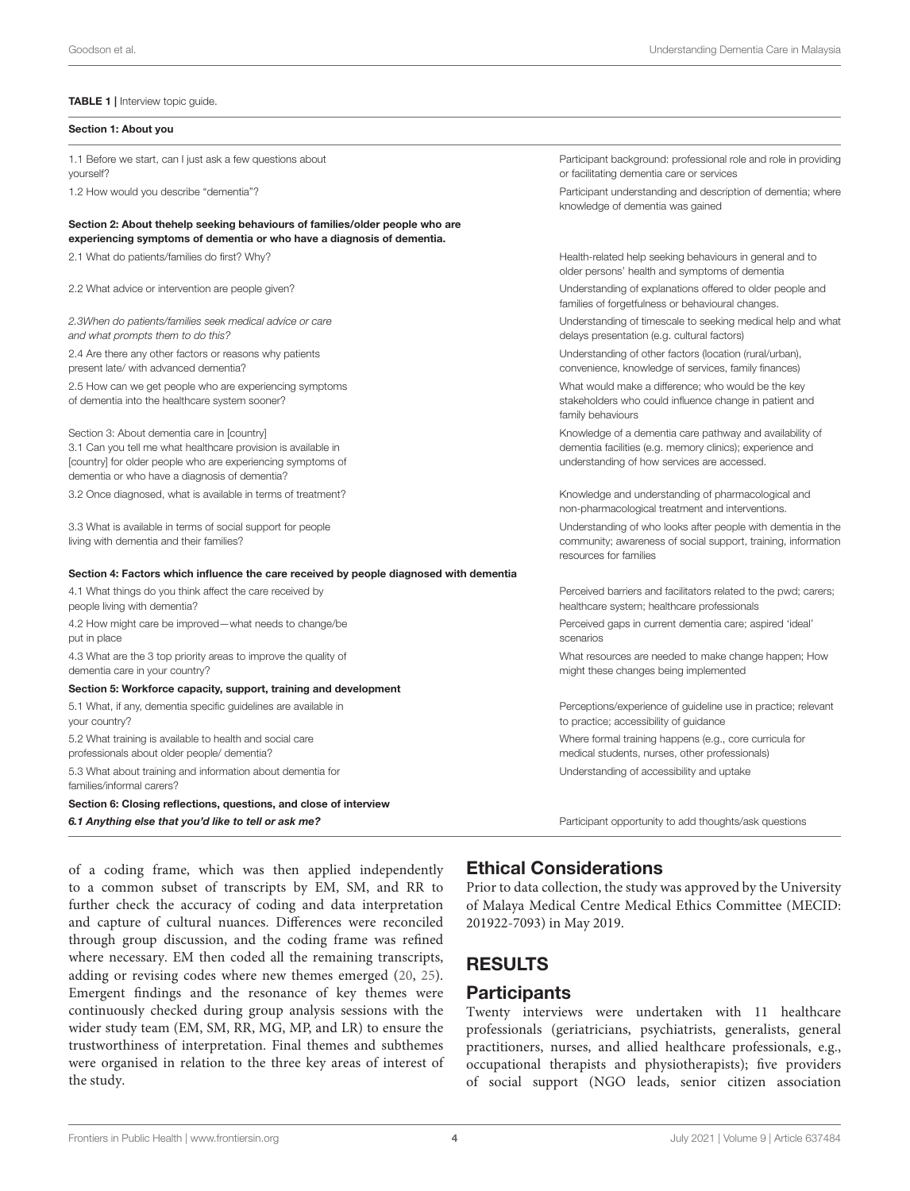#### <span id="page-3-0"></span>TABLE 1 | Interview topic guide.

#### Section 1: About you 1.1 Before we start, can I just ask a few questions about yourself? Participant background: professional role and role in providing or facilitating dementia care or services 1.2 How would you describe "dementia"? Participant understanding and description of dementia; where knowledge of dementia was gained Section 2: About thehelp seeking behaviours of families/older people who are experiencing symptoms of dementia or who have a diagnosis of dementia. 2.1 What do patients/families do first? Why? <br>
Health-related help seeking behaviours in general and to older persons' health and symptoms of dementia 2.2 What advice or intervention are people given? Understanding of explanations offered to older people and families of forgetfulness or behavioural changes. *2.3When do patients/families seek medical advice or care and what prompts them to do this?* Understanding of timescale to seeking medical help and what delays presentation (e.g. cultural factors) 2.4 Are there any other factors or reasons why patients present late/ with advanced dementia? Understanding of other factors (location (rural/urban), convenience, knowledge of services, family finances) 2.5 How can we get people who are experiencing symptoms of dementia into the healthcare system sooner? What would make a difference; who would be the key stakeholders who could influence change in patient and family behaviours Section 3: About dementia care in [country] 3.1 Can you tell me what healthcare provision is available in [country] for older people who are experiencing symptoms of dementia or who have a diagnosis of dementia? Knowledge of a dementia care pathway and availability of dementia facilities (e.g. memory clinics); experience and understanding of how services are accessed. 3.2 Once diagnosed, what is available in terms of treatment? Knowledge and understanding of pharmacological and non-pharmacological treatment and interventions. 3.3 What is available in terms of social support for people living with dementia and their families? Understanding of who looks after people with dementia in the community; awareness of social support, training, information resources for families Section 4: Factors which influence the care received by people diagnosed with dementia 4.1 What things do you think affect the care received by people living with dementia? Perceived barriers and facilitators related to the pwd; carers; healthcare system; healthcare professionals 4.2 How might care be improved—what needs to change/be put in place Perceived gaps in current dementia care; aspired 'ideal' scenarios 4.3 What are the 3 top priority areas to improve the quality of dementia care in your country? What resources are needed to make change happen; How might these changes being implemented Section 5: Workforce capacity, support, training and development 5.1 What, if any, dementia specific guidelines are available in your country? Perceptions/experience of guideline use in practice; relevant to practice; accessibility of guidance 5.2 What training is available to health and social care professionals about older people/ dementia? Where formal training happens (e.g., core curricula for medical students, nurses, other professionals) 5.3 What about training and information about dementia for families/informal carers? Understanding of accessibility and uptake Section 6: Closing reflections, questions, and close of interview 6.1 Anything else that you'd like to tell or ask me? **Participant** Participant opportunity to add thoughts/ask questions

of a coding frame, which was then applied independently to a common subset of transcripts by EM, SM, and RR to further check the accuracy of coding and data interpretation and capture of cultural nuances. Differences were reconciled through group discussion, and the coding frame was refined where necessary. EM then coded all the remaining transcripts, adding or revising codes where new themes emerged [\(20,](#page-14-12) [25\)](#page-14-17). Emergent findings and the resonance of key themes were continuously checked during group analysis sessions with the wider study team (EM, SM, RR, MG, MP, and LR) to ensure the trustworthiness of interpretation. Final themes and subthemes were organised in relation to the three key areas of interest of the study.

### Ethical Considerations

Prior to data collection, the study was approved by the University of Malaya Medical Centre Medical Ethics Committee (MECID: 201922-7093) in May 2019.

# RESULTS

### **Participants**

Twenty interviews were undertaken with 11 healthcare professionals (geriatricians, psychiatrists, generalists, general practitioners, nurses, and allied healthcare professionals, e.g., occupational therapists and physiotherapists); five providers of social support (NGO leads, senior citizen association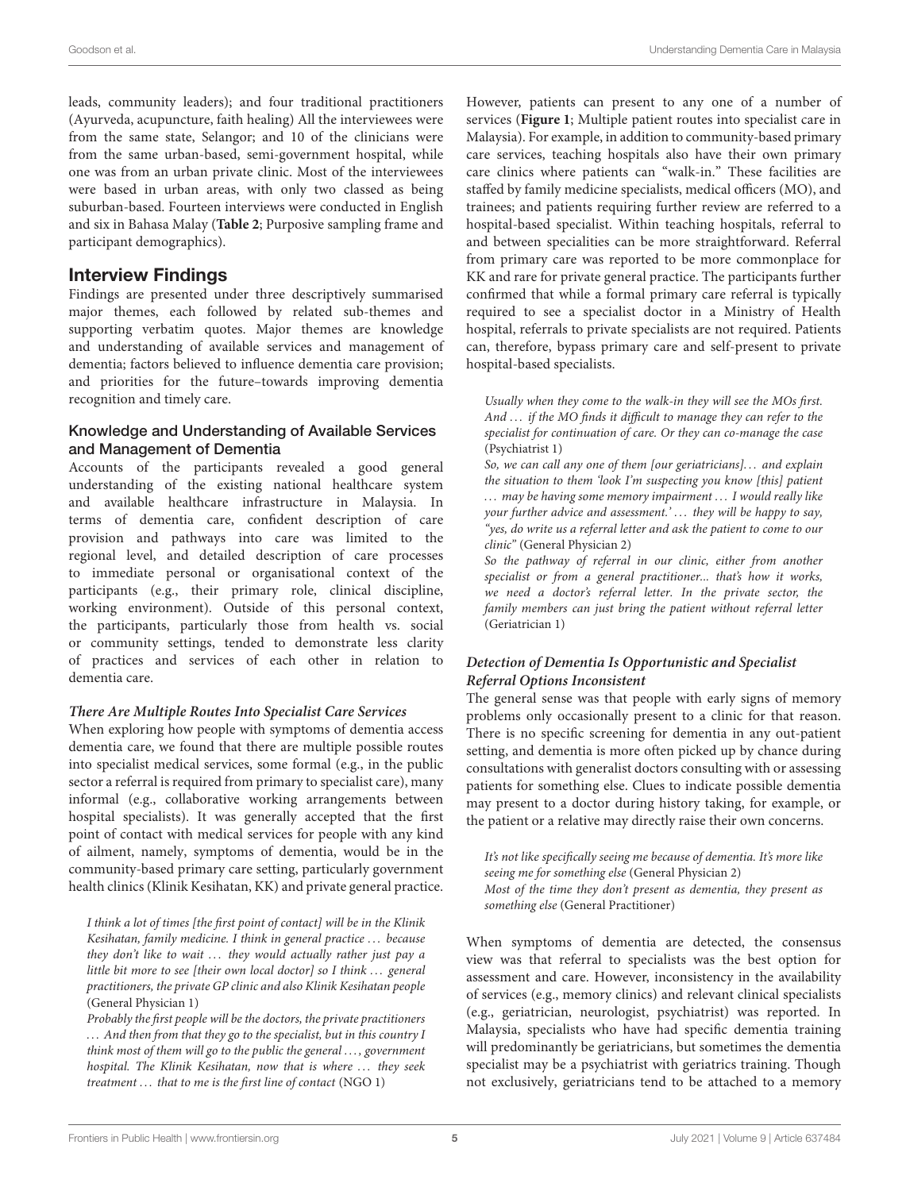leads, community leaders); and four traditional practitioners (Ayurveda, acupuncture, faith healing) All the interviewees were from the same state, Selangor; and 10 of the clinicians were from the same urban-based, semi-government hospital, while one was from an urban private clinic. Most of the interviewees were based in urban areas, with only two classed as being suburban-based. Fourteen interviews were conducted in English and six in Bahasa Malay (**[Table 2](#page-5-0)**; Purposive sampling frame and participant demographics).

### Interview Findings

Findings are presented under three descriptively summarised major themes, each followed by related sub-themes and supporting verbatim quotes. Major themes are knowledge and understanding of available services and management of dementia; factors believed to influence dementia care provision; and priorities for the future–towards improving dementia recognition and timely care.

#### Knowledge and Understanding of Available Services and Management of Dementia

Accounts of the participants revealed a good general understanding of the existing national healthcare system and available healthcare infrastructure in Malaysia. In terms of dementia care, confident description of care provision and pathways into care was limited to the regional level, and detailed description of care processes to immediate personal or organisational context of the participants (e.g., their primary role, clinical discipline, working environment). Outside of this personal context, the participants, particularly those from health vs. social or community settings, tended to demonstrate less clarity of practices and services of each other in relation to dementia care.

#### **There Are Multiple Routes Into Specialist Care Services**

When exploring how people with symptoms of dementia access dementia care, we found that there are multiple possible routes into specialist medical services, some formal (e.g., in the public sector a referral is required from primary to specialist care), many informal (e.g., collaborative working arrangements between hospital specialists). It was generally accepted that the first point of contact with medical services for people with any kind of ailment, namely, symptoms of dementia, would be in the community-based primary care setting, particularly government health clinics (Klinik Kesihatan, KK) and private general practice.

I think a lot of times [the first point of contact] will be in the Klinik Kesihatan, family medicine. I think in general practice . . . because they don't like to wait  $\ldots$  they would actually rather just pay a little bit more to see [their own local doctor] so I think ... general practitioners, the private GP clinic and also Klinik Kesihatan people (General Physician 1)

Probably the first people will be the doctors, the private practitioners ... And then from that they go to the specialist, but in this country I think most of them will go to the public the general . . . , government hospital. The Klinik Kesihatan, now that is where ... they seek treatment ... that to me is the first line of contact (NGO 1)

However, patients can present to any one of a number of services (**[Figure 1](#page-5-1)**; Multiple patient routes into specialist care in Malaysia). For example, in addition to community-based primary care services, teaching hospitals also have their own primary care clinics where patients can "walk-in." These facilities are staffed by family medicine specialists, medical officers (MO), and trainees; and patients requiring further review are referred to a hospital-based specialist. Within teaching hospitals, referral to and between specialities can be more straightforward. Referral from primary care was reported to be more commonplace for KK and rare for private general practice. The participants further confirmed that while a formal primary care referral is typically required to see a specialist doctor in a Ministry of Health hospital, referrals to private specialists are not required. Patients can, therefore, bypass primary care and self-present to private hospital-based specialists.

Usually when they come to the walk-in they will see the MOs first. And ... if the MO finds it difficult to manage they can refer to the specialist for continuation of care. Or they can co-manage the case (Psychiatrist 1)

So, we can call any one of them *lour geriatricians*]... and explain the situation to them 'look I'm suspecting you know [this] patient ... may be having some memory impairment ... I would really like your further advice and assessment.'... they will be happy to say, "yes, do write us a referral letter and ask the patient to come to our clinic" (General Physician 2)

So the pathway of referral in our clinic, either from another specialist or from a general practitioner... that's how it works, we need a doctor's referral letter. In the private sector, the family members can just bring the patient without referral letter (Geriatrician 1)

#### **Detection of Dementia Is Opportunistic and Specialist Referral Options Inconsistent**

The general sense was that people with early signs of memory problems only occasionally present to a clinic for that reason. There is no specific screening for dementia in any out-patient setting, and dementia is more often picked up by chance during consultations with generalist doctors consulting with or assessing patients for something else. Clues to indicate possible dementia may present to a doctor during history taking, for example, or the patient or a relative may directly raise their own concerns.

It's not like specifically seeing me because of dementia. It's more like seeing me for something else (General Physician 2) Most of the time they don't present as dementia, they present as something else (General Practitioner)

When symptoms of dementia are detected, the consensus view was that referral to specialists was the best option for assessment and care. However, inconsistency in the availability of services (e.g., memory clinics) and relevant clinical specialists (e.g., geriatrician, neurologist, psychiatrist) was reported. In Malaysia, specialists who have had specific dementia training will predominantly be geriatricians, but sometimes the dementia specialist may be a psychiatrist with geriatrics training. Though not exclusively, geriatricians tend to be attached to a memory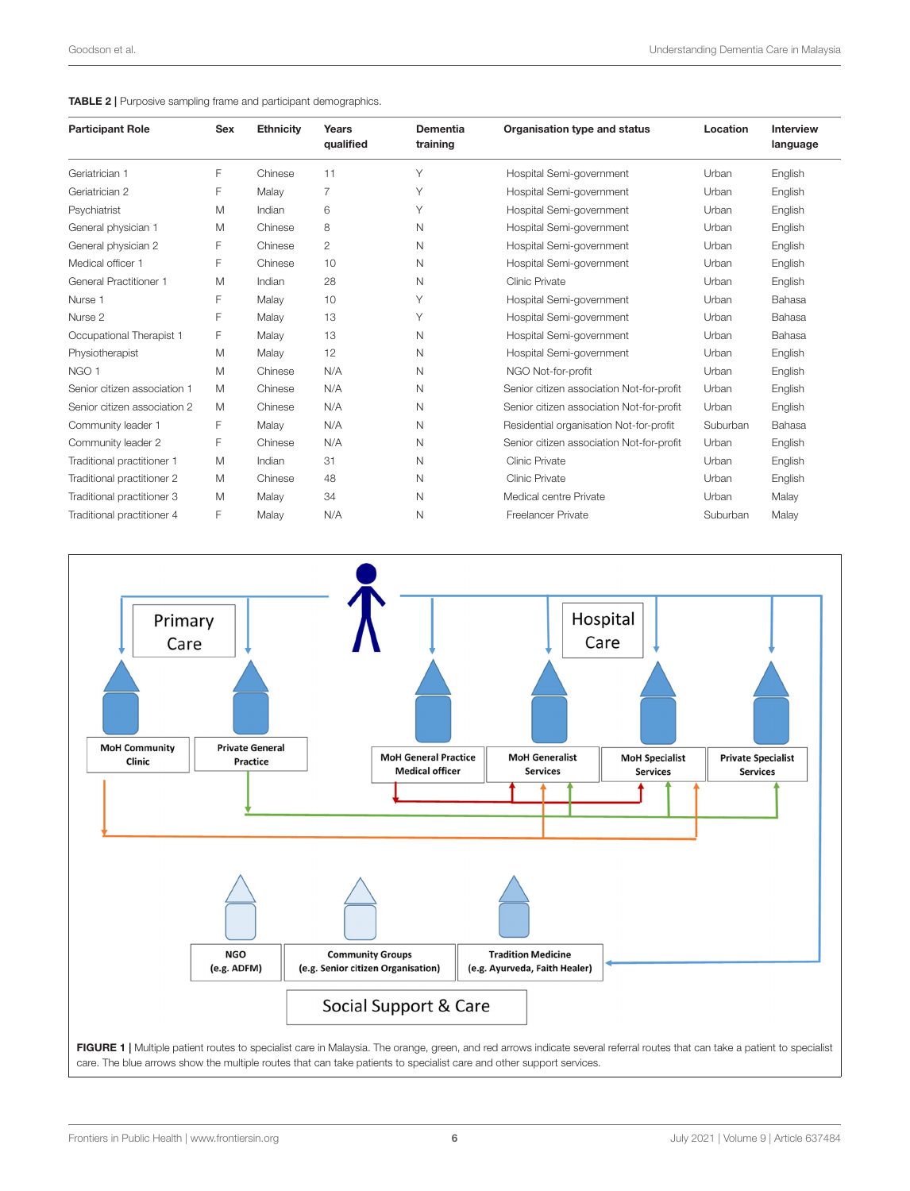#### <span id="page-5-0"></span>TABLE 2 | Purposive sampling frame and participant demographics.

| <b>Participant Role</b>       | <b>Sex</b> | <b>Ethnicity</b> | Years<br>qualified | <b>Dementia</b><br>training | Organisation type and status              | Location | <b>Interview</b><br>language |
|-------------------------------|------------|------------------|--------------------|-----------------------------|-------------------------------------------|----------|------------------------------|
| Geriatrician 1                | F          | Chinese          | 11                 | Υ                           | Hospital Semi-government                  | Urban    | English                      |
| Geriatrician 2                | F          | Malay            | 7                  | Υ                           | Hospital Semi-government                  | Urban    | English                      |
|                               |            |                  | 6                  | Υ                           |                                           |          |                              |
| Psychiatrist                  | M          | Indian           |                    |                             | Hospital Semi-government                  | Urban    | English                      |
| General physician 1           | M          | Chinese          | 8                  | N                           | Hospital Semi-government                  | Urban    | English                      |
| General physician 2           | F          | Chinese          | $\overline{c}$     | N                           | Hospital Semi-government                  | Urban    | English                      |
| Medical officer 1             | F          | Chinese          | 10                 | N                           | Hospital Semi-government                  | Urban    | English                      |
| <b>General Practitioner 1</b> | M          | Indian           | 28                 | N                           | Clinic Private                            | Urban    | English                      |
| Nurse 1                       | F          | Malay            | 10                 | Υ                           | Hospital Semi-government                  | Urban    | Bahasa                       |
| Nurse 2                       | F          | Malay            | 13                 | Υ                           | Hospital Semi-government                  | Urban    | Bahasa                       |
| Occupational Therapist 1      | F          | Malay            | 13                 | N                           | Hospital Semi-government                  | Urban    | Bahasa                       |
| Physiotherapist               | M          | Malay            | 12                 | N                           | Hospital Semi-government                  | Urban    | English                      |
| NGO 1                         | M          | Chinese          | N/A                | N                           | NGO Not-for-profit                        | Urban    | English                      |
| Senior citizen association 1  | M          | Chinese          | N/A                | N                           | Senior citizen association Not-for-profit | Urban    | English                      |
| Senior citizen association 2  | M          | Chinese          | N/A                | N                           | Senior citizen association Not-for-profit | Urban    | English                      |
| Community leader 1            | F          | Malay            | N/A                | N                           | Residential organisation Not-for-profit   | Suburban | Bahasa                       |
| Community leader 2            | F          | Chinese          | N/A                | N                           | Senior citizen association Not-for-profit | Urban    | English                      |
| Traditional practitioner 1    | M          | Indian           | 31                 | N                           | <b>Clinic Private</b>                     | Urban    | English                      |
| Traditional practitioner 2    | M          | Chinese          | 48                 | N                           | <b>Clinic Private</b>                     | Urban    | English                      |
| Traditional practitioner 3    | M          | Malay            | 34                 | N                           | Medical centre Private                    | Urban    | Malay                        |
| Traditional practitioner 4    | F          | Malay            | N/A                | N                           | <b>Freelancer Private</b>                 | Suburban | Malay                        |

<span id="page-5-1"></span>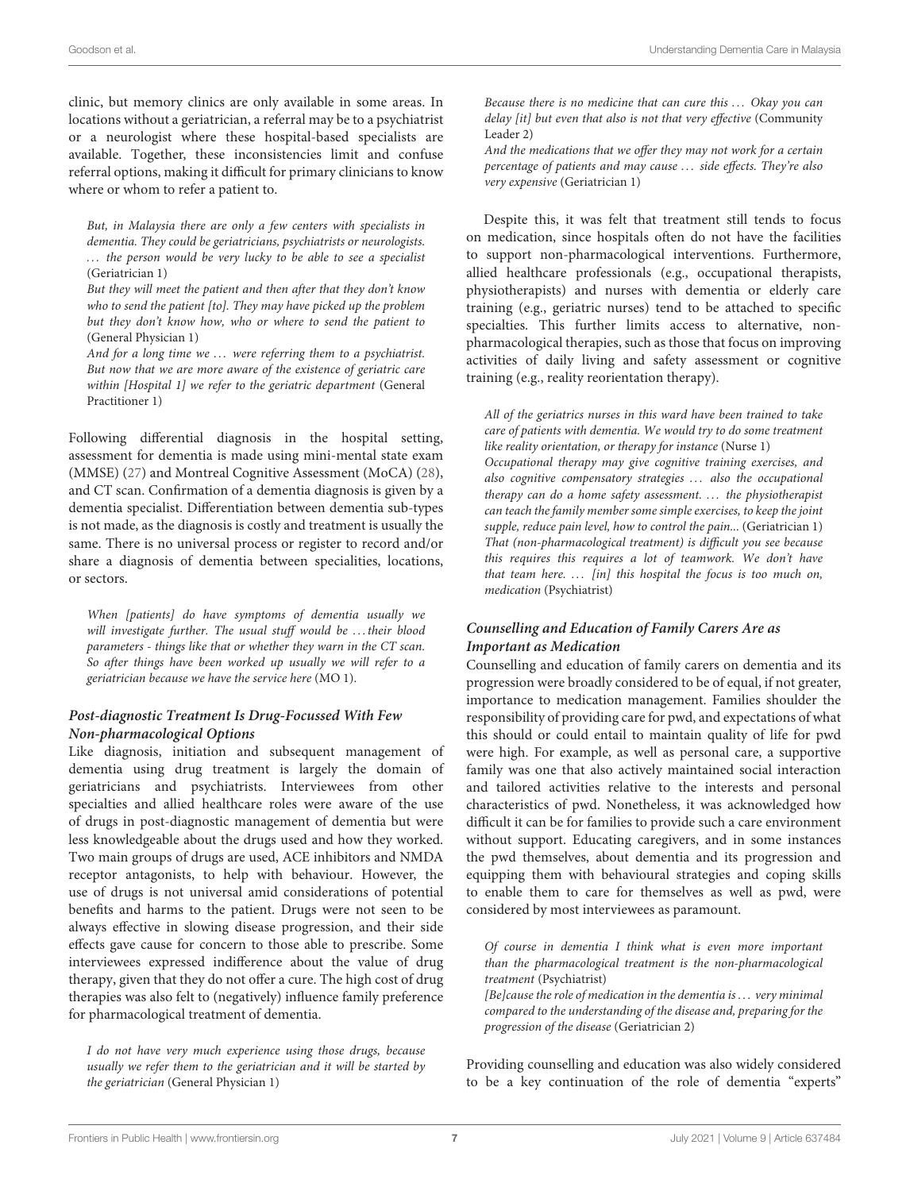clinic, but memory clinics are only available in some areas. In locations without a geriatrician, a referral may be to a psychiatrist or a neurologist where these hospital-based specialists are available. Together, these inconsistencies limit and confuse referral options, making it difficult for primary clinicians to know where or whom to refer a patient to.

But, in Malaysia there are only a few centers with specialists in dementia. They could be geriatricians, psychiatrists or neurologists. ... the person would be very lucky to be able to see a specialist (Geriatrician 1)

But they will meet the patient and then after that they don't know who to send the patient [to]. They may have picked up the problem but they don't know how, who or where to send the patient to (General Physician 1)

And for a long time we ... were referring them to a psychiatrist. But now that we are more aware of the existence of geriatric care within [Hospital 1] we refer to the geriatric department (General Practitioner 1)

Following differential diagnosis in the hospital setting, assessment for dementia is made using mini-mental state exam (MMSE) [\(27\)](#page-14-19) and Montreal Cognitive Assessment (MoCA) [\(28\)](#page-14-20), and CT scan. Confirmation of a dementia diagnosis is given by a dementia specialist. Differentiation between dementia sub-types is not made, as the diagnosis is costly and treatment is usually the same. There is no universal process or register to record and/or share a diagnosis of dementia between specialities, locations, or sectors.

When [patients] do have symptoms of dementia usually we will investigate further. The usual stuff would be ... their blood parameters - things like that or whether they warn in the CT scan. So after things have been worked up usually we will refer to a geriatrician because we have the service here (MO 1).

#### **Post-diagnostic Treatment Is Drug-Focussed With Few Non-pharmacological Options**

Like diagnosis, initiation and subsequent management of dementia using drug treatment is largely the domain of geriatricians and psychiatrists. Interviewees from other specialties and allied healthcare roles were aware of the use of drugs in post-diagnostic management of dementia but were less knowledgeable about the drugs used and how they worked. Two main groups of drugs are used, ACE inhibitors and NMDA receptor antagonists, to help with behaviour. However, the use of drugs is not universal amid considerations of potential benefits and harms to the patient. Drugs were not seen to be always effective in slowing disease progression, and their side effects gave cause for concern to those able to prescribe. Some interviewees expressed indifference about the value of drug therapy, given that they do not offer a cure. The high cost of drug therapies was also felt to (negatively) influence family preference for pharmacological treatment of dementia.

I do not have very much experience using those drugs, because usually we refer them to the geriatrician and it will be started by the geriatrician (General Physician 1)

Because there is no medicine that can cure this ... Okay you can delay [it] but even that also is not that very effective (Community Leader 2)

And the medications that we offer they may not work for a certain percentage of patients and may cause ... side effects. They're also very expensive (Geriatrician 1)

Despite this, it was felt that treatment still tends to focus on medication, since hospitals often do not have the facilities to support non-pharmacological interventions. Furthermore, allied healthcare professionals (e.g., occupational therapists, physiotherapists) and nurses with dementia or elderly care training (e.g., geriatric nurses) tend to be attached to specific specialties. This further limits access to alternative, nonpharmacological therapies, such as those that focus on improving activities of daily living and safety assessment or cognitive training (e.g., reality reorientation therapy).

All of the geriatrics nurses in this ward have been trained to take care of patients with dementia. We would try to do some treatment like reality orientation, or therapy for instance (Nurse 1) Occupational therapy may give cognitive training exercises, and also cognitive compensatory strategies ... also the occupational therapy can do a home safety assessment. ... the physiotherapist can teach the family member some simple exercises, to keep the joint supple, reduce pain level, how to control the pain... (Geriatrician 1) That (non-pharmacological treatment) is difficult you see because this requires this requires a lot of teamwork. We don't have that team here.  $\ldots$  [in] this hospital the focus is too much on, medication (Psychiatrist)

### **Counselling and Education of Family Carers Are as Important as Medication**

Counselling and education of family carers on dementia and its progression were broadly considered to be of equal, if not greater, importance to medication management. Families shoulder the responsibility of providing care for pwd, and expectations of what this should or could entail to maintain quality of life for pwd were high. For example, as well as personal care, a supportive family was one that also actively maintained social interaction and tailored activities relative to the interests and personal characteristics of pwd. Nonetheless, it was acknowledged how difficult it can be for families to provide such a care environment without support. Educating caregivers, and in some instances the pwd themselves, about dementia and its progression and equipping them with behavioural strategies and coping skills to enable them to care for themselves as well as pwd, were considered by most interviewees as paramount.

Of course in dementia I think what is even more important than the pharmacological treatment is the non-pharmacological treatment (Psychiatrist)  $[Be]$ cause the role of medication in the dementia is ... very minimal compared to the understanding of the disease and, preparing for the progression of the disease (Geriatrician 2)

Providing counselling and education was also widely considered to be a key continuation of the role of dementia "experts"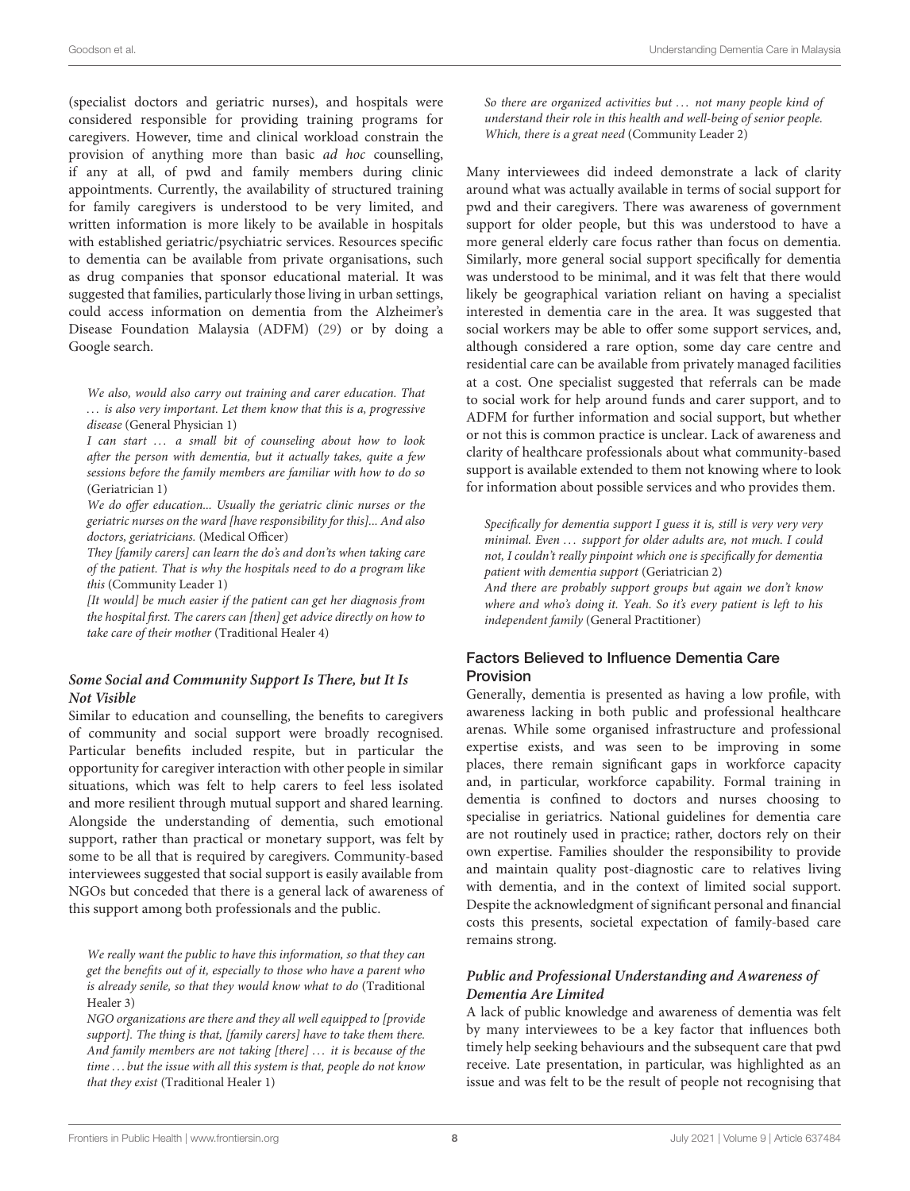(specialist doctors and geriatric nurses), and hospitals were considered responsible for providing training programs for caregivers. However, time and clinical workload constrain the provision of anything more than basic ad hoc counselling, if any at all, of pwd and family members during clinic appointments. Currently, the availability of structured training for family caregivers is understood to be very limited, and written information is more likely to be available in hospitals with established geriatric/psychiatric services. Resources specific to dementia can be available from private organisations, such as drug companies that sponsor educational material. It was suggested that families, particularly those living in urban settings, could access information on dementia from the Alzheimer's Disease Foundation Malaysia (ADFM) [\(29\)](#page-14-21) or by doing a Google search.

We also, would also carry out training and carer education. That . . . is also very important. Let them know that this is a, progressive disease (General Physician 1)

I can start ... a small bit of counseling about how to look after the person with dementia, but it actually takes, quite a few sessions before the family members are familiar with how to do so (Geriatrician 1)

We do offer education... Usually the geriatric clinic nurses or the geriatric nurses on the ward [have responsibility for this]... And also doctors, geriatricians. (Medical Officer)

They [family carers] can learn the do's and don'ts when taking care of the patient. That is why the hospitals need to do a program like this (Community Leader 1)

[It would] be much easier if the patient can get her diagnosis from the hospital first. The carers can [then] get advice directly on how to take care of their mother (Traditional Healer 4)

#### **Some Social and Community Support Is There, but It Is Not Visible**

Similar to education and counselling, the benefits to caregivers of community and social support were broadly recognised. Particular benefits included respite, but in particular the opportunity for caregiver interaction with other people in similar situations, which was felt to help carers to feel less isolated and more resilient through mutual support and shared learning. Alongside the understanding of dementia, such emotional support, rather than practical or monetary support, was felt by some to be all that is required by caregivers. Community-based interviewees suggested that social support is easily available from NGOs but conceded that there is a general lack of awareness of this support among both professionals and the public.

We really want the public to have this information, so that they can get the benefits out of it, especially to those who have a parent who is already senile, so that they would know what to do (Traditional Healer 3)

NGO organizations are there and they all well equipped to [provide support]. The thing is that, [family carers] have to take them there. And family members are not taking [there] ... it is because of the time . . . but the issue with all this system is that, people do not know that they exist (Traditional Healer 1)

So there are organized activities but ... not many people kind of understand their role in this health and well-being of senior people. Which, there is a great need (Community Leader 2)

Many interviewees did indeed demonstrate a lack of clarity around what was actually available in terms of social support for pwd and their caregivers. There was awareness of government support for older people, but this was understood to have a more general elderly care focus rather than focus on dementia. Similarly, more general social support specifically for dementia was understood to be minimal, and it was felt that there would likely be geographical variation reliant on having a specialist interested in dementia care in the area. It was suggested that social workers may be able to offer some support services, and, although considered a rare option, some day care centre and residential care can be available from privately managed facilities at a cost. One specialist suggested that referrals can be made to social work for help around funds and carer support, and to ADFM for further information and social support, but whether or not this is common practice is unclear. Lack of awareness and clarity of healthcare professionals about what community-based support is available extended to them not knowing where to look for information about possible services and who provides them.

Specifically for dementia support I guess it is, still is very very very minimal. Even ... support for older adults are, not much. I could not, I couldn't really pinpoint which one is specifically for dementia patient with dementia support (Geriatrician 2) And there are probably support groups but again we don't know

where and who's doing it. Yeah. So it's every patient is left to his independent family (General Practitioner)

### Factors Believed to Influence Dementia Care Provision

Generally, dementia is presented as having a low profile, with awareness lacking in both public and professional healthcare arenas. While some organised infrastructure and professional expertise exists, and was seen to be improving in some places, there remain significant gaps in workforce capacity and, in particular, workforce capability. Formal training in dementia is confined to doctors and nurses choosing to specialise in geriatrics. National guidelines for dementia care are not routinely used in practice; rather, doctors rely on their own expertise. Families shoulder the responsibility to provide and maintain quality post-diagnostic care to relatives living with dementia, and in the context of limited social support. Despite the acknowledgment of significant personal and financial costs this presents, societal expectation of family-based care remains strong.

### **Public and Professional Understanding and Awareness of Dementia Are Limited**

A lack of public knowledge and awareness of dementia was felt by many interviewees to be a key factor that influences both timely help seeking behaviours and the subsequent care that pwd receive. Late presentation, in particular, was highlighted as an issue and was felt to be the result of people not recognising that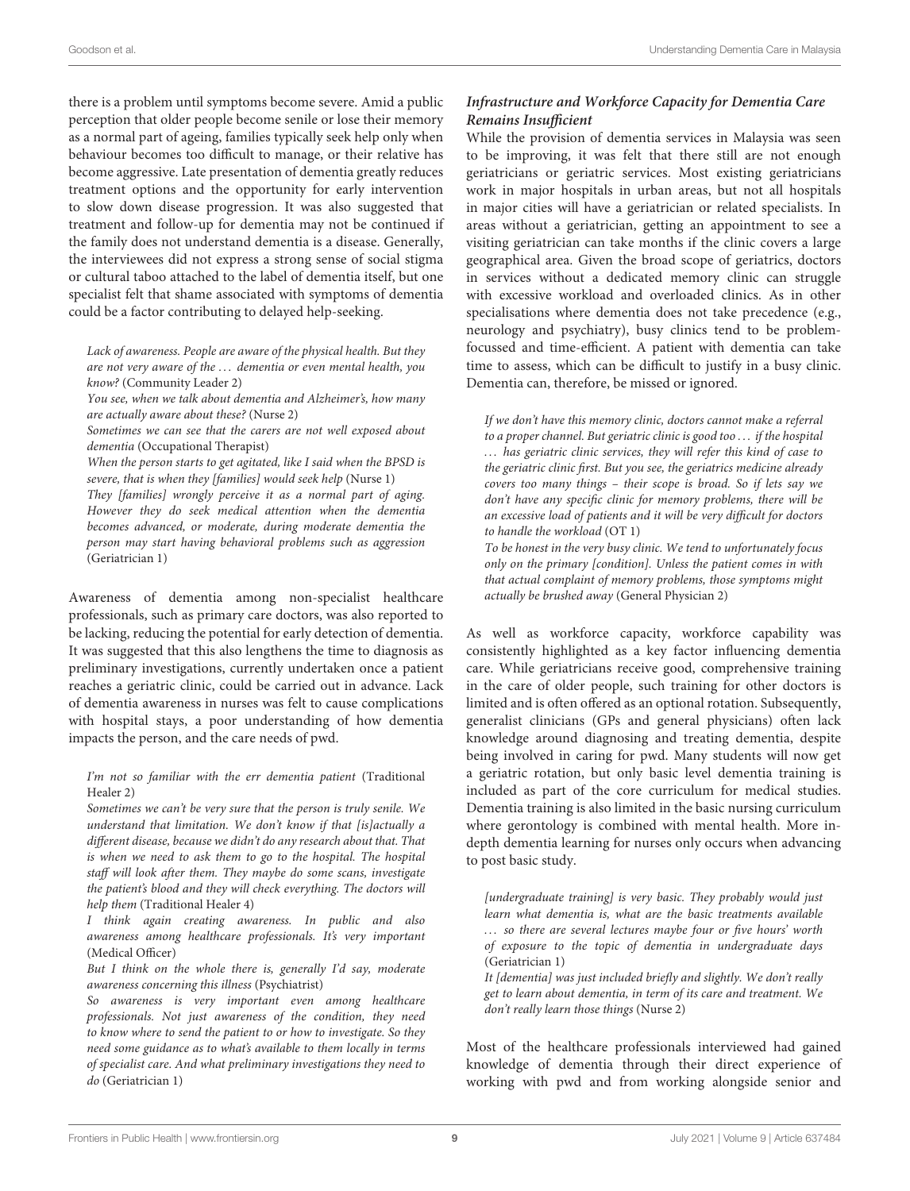there is a problem until symptoms become severe. Amid a public perception that older people become senile or lose their memory as a normal part of ageing, families typically seek help only when behaviour becomes too difficult to manage, or their relative has become aggressive. Late presentation of dementia greatly reduces treatment options and the opportunity for early intervention to slow down disease progression. It was also suggested that treatment and follow-up for dementia may not be continued if the family does not understand dementia is a disease. Generally, the interviewees did not express a strong sense of social stigma or cultural taboo attached to the label of dementia itself, but one specialist felt that shame associated with symptoms of dementia could be a factor contributing to delayed help-seeking.

Lack of awareness. People are aware of the physical health. But they are not very aware of the ... dementia or even mental health, you know? (Community Leader 2)

You see, when we talk about dementia and Alzheimer's, how many are actually aware about these? (Nurse 2)

Sometimes we can see that the carers are not well exposed about dementia (Occupational Therapist)

When the person starts to get agitated, like I said when the BPSD is severe, that is when they [families] would seek help (Nurse 1)

They [families] wrongly perceive it as a normal part of aging. However they do seek medical attention when the dementia becomes advanced, or moderate, during moderate dementia the person may start having behavioral problems such as aggression (Geriatrician 1)

Awareness of dementia among non-specialist healthcare professionals, such as primary care doctors, was also reported to be lacking, reducing the potential for early detection of dementia. It was suggested that this also lengthens the time to diagnosis as preliminary investigations, currently undertaken once a patient reaches a geriatric clinic, could be carried out in advance. Lack of dementia awareness in nurses was felt to cause complications with hospital stays, a poor understanding of how dementia impacts the person, and the care needs of pwd.

#### I'm not so familiar with the err dementia patient (Traditional Healer 2)

Sometimes we can't be very sure that the person is truly senile. We understand that limitation. We don't know if that [is]actually a different disease, because we didn't do any research about that. That is when we need to ask them to go to the hospital. The hospital staff will look after them. They maybe do some scans, investigate the patient's blood and they will check everything. The doctors will help them (Traditional Healer 4)

I think again creating awareness. In public and also awareness among healthcare professionals. It's very important (Medical Officer)

But I think on the whole there is, generally I'd say, moderate awareness concerning this illness (Psychiatrist)

So awareness is very important even among healthcare professionals. Not just awareness of the condition, they need to know where to send the patient to or how to investigate. So they need some guidance as to what's available to them locally in terms of specialist care. And what preliminary investigations they need to do (Geriatrician 1)

### **Infrastructure and Workforce Capacity for Dementia Care Remains Insufficient**

While the provision of dementia services in Malaysia was seen to be improving, it was felt that there still are not enough geriatricians or geriatric services. Most existing geriatricians work in major hospitals in urban areas, but not all hospitals in major cities will have a geriatrician or related specialists. In areas without a geriatrician, getting an appointment to see a visiting geriatrician can take months if the clinic covers a large geographical area. Given the broad scope of geriatrics, doctors in services without a dedicated memory clinic can struggle with excessive workload and overloaded clinics. As in other specialisations where dementia does not take precedence (e.g., neurology and psychiatry), busy clinics tend to be problemfocussed and time-efficient. A patient with dementia can take time to assess, which can be difficult to justify in a busy clinic. Dementia can, therefore, be missed or ignored.

If we don't have this memory clinic, doctors cannot make a referral to a proper channel. But geriatric clinic is good too . . . if the hospital ... has geriatric clinic services, they will refer this kind of case to the geriatric clinic first. But you see, the geriatrics medicine already covers too many things – their scope is broad. So if lets say we don't have any specific clinic for memory problems, there will be an excessive load of patients and it will be very difficult for doctors to handle the workload (OT 1)

To be honest in the very busy clinic. We tend to unfortunately focus only on the primary [condition]. Unless the patient comes in with that actual complaint of memory problems, those symptoms might actually be brushed away (General Physician 2)

As well as workforce capacity, workforce capability was consistently highlighted as a key factor influencing dementia care. While geriatricians receive good, comprehensive training in the care of older people, such training for other doctors is limited and is often offered as an optional rotation. Subsequently, generalist clinicians (GPs and general physicians) often lack knowledge around diagnosing and treating dementia, despite being involved in caring for pwd. Many students will now get a geriatric rotation, but only basic level dementia training is included as part of the core curriculum for medical studies. Dementia training is also limited in the basic nursing curriculum where gerontology is combined with mental health. More indepth dementia learning for nurses only occurs when advancing to post basic study.

[undergraduate training] is very basic. They probably would just learn what dementia is, what are the basic treatments available ... so there are several lectures maybe four or five hours' worth of exposure to the topic of dementia in undergraduate days (Geriatrician 1)

It [dementia] was just included briefly and slightly. We don't really get to learn about dementia, in term of its care and treatment. We don't really learn those things (Nurse 2)

Most of the healthcare professionals interviewed had gained knowledge of dementia through their direct experience of working with pwd and from working alongside senior and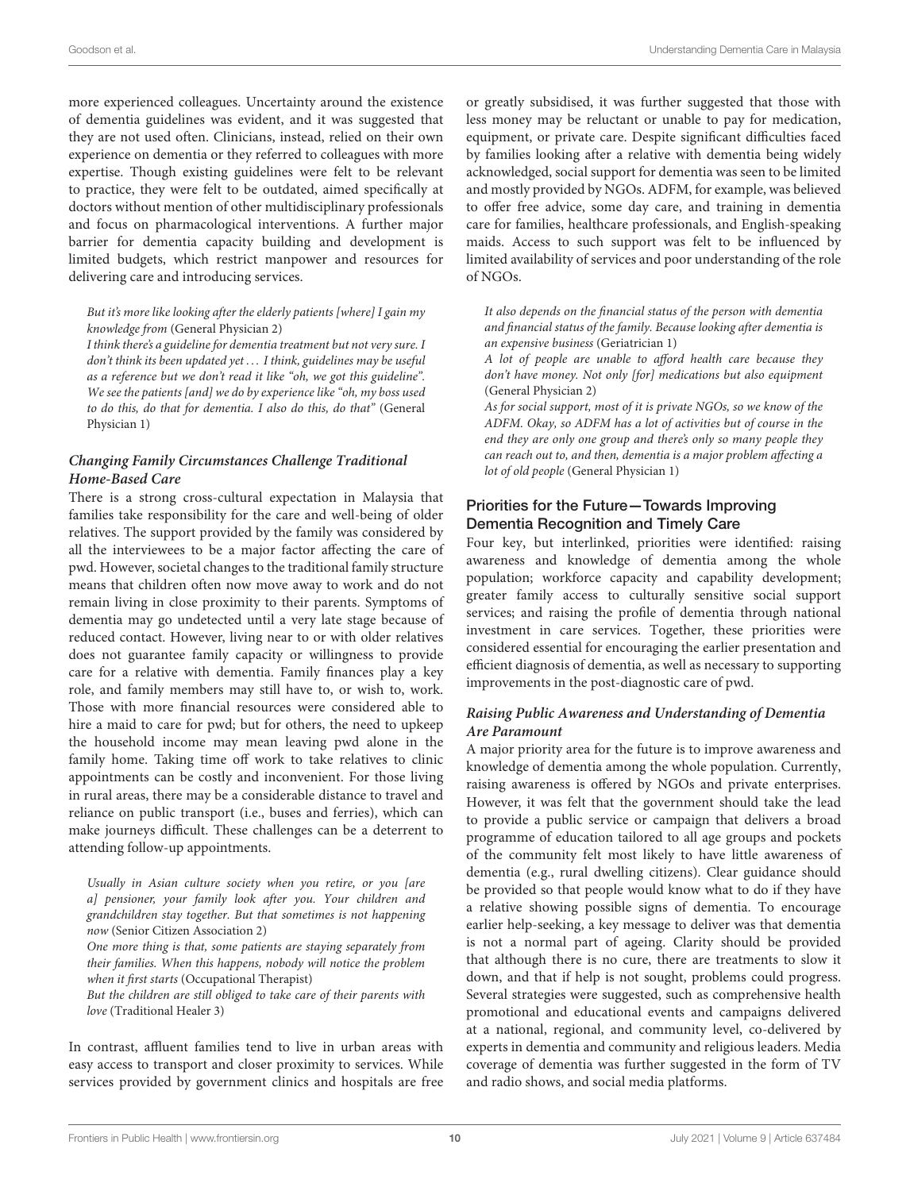more experienced colleagues. Uncertainty around the existence of dementia guidelines was evident, and it was suggested that they are not used often. Clinicians, instead, relied on their own experience on dementia or they referred to colleagues with more expertise. Though existing guidelines were felt to be relevant to practice, they were felt to be outdated, aimed specifically at doctors without mention of other multidisciplinary professionals and focus on pharmacological interventions. A further major barrier for dementia capacity building and development is limited budgets, which restrict manpower and resources for delivering care and introducing services.

#### But it's more like looking after the elderly patients [where] I gain my knowledge from (General Physician 2)

I think there's a guideline for dementia treatment but not very sure. I don't think its been updated yet . . . I think, guidelines may be useful as a reference but we don't read it like "oh, we got this guideline". We see the patients [and] we do by experience like "oh, my boss used to do this, do that for dementia. I also do this, do that" (General Physician 1)

#### **Changing Family Circumstances Challenge Traditional Home-Based Care**

There is a strong cross-cultural expectation in Malaysia that families take responsibility for the care and well-being of older relatives. The support provided by the family was considered by all the interviewees to be a major factor affecting the care of pwd. However, societal changes to the traditional family structure means that children often now move away to work and do not remain living in close proximity to their parents. Symptoms of dementia may go undetected until a very late stage because of reduced contact. However, living near to or with older relatives does not guarantee family capacity or willingness to provide care for a relative with dementia. Family finances play a key role, and family members may still have to, or wish to, work. Those with more financial resources were considered able to hire a maid to care for pwd; but for others, the need to upkeep the household income may mean leaving pwd alone in the family home. Taking time off work to take relatives to clinic appointments can be costly and inconvenient. For those living in rural areas, there may be a considerable distance to travel and reliance on public transport (i.e., buses and ferries), which can make journeys difficult. These challenges can be a deterrent to attending follow-up appointments.

Usually in Asian culture society when you retire, or you [are a] pensioner, your family look after you. Your children and grandchildren stay together. But that sometimes is not happening now (Senior Citizen Association 2)

One more thing is that, some patients are staying separately from their families. When this happens, nobody will notice the problem when it first starts (Occupational Therapist)

But the children are still obliged to take care of their parents with love (Traditional Healer 3)

In contrast, affluent families tend to live in urban areas with easy access to transport and closer proximity to services. While services provided by government clinics and hospitals are free or greatly subsidised, it was further suggested that those with less money may be reluctant or unable to pay for medication, equipment, or private care. Despite significant difficulties faced by families looking after a relative with dementia being widely acknowledged, social support for dementia was seen to be limited and mostly provided by NGOs. ADFM, for example, was believed to offer free advice, some day care, and training in dementia care for families, healthcare professionals, and English-speaking maids. Access to such support was felt to be influenced by limited availability of services and poor understanding of the role of NGOs.

It also depends on the financial status of the person with dementia and financial status of the family. Because looking after dementia is an expensive business (Geriatrician 1)

A lot of people are unable to afford health care because they don't have money. Not only [for] medications but also equipment (General Physician 2)

As for social support, most of it is private NGOs, so we know of the ADFM. Okay, so ADFM has a lot of activities but of course in the end they are only one group and there's only so many people they can reach out to, and then, dementia is a major problem affecting a lot of old people (General Physician 1)

### Priorities for the Future—Towards Improving Dementia Recognition and Timely Care

Four key, but interlinked, priorities were identified: raising awareness and knowledge of dementia among the whole population; workforce capacity and capability development; greater family access to culturally sensitive social support services; and raising the profile of dementia through national investment in care services. Together, these priorities were considered essential for encouraging the earlier presentation and efficient diagnosis of dementia, as well as necessary to supporting improvements in the post-diagnostic care of pwd.

#### **Raising Public Awareness and Understanding of Dementia Are Paramount**

A major priority area for the future is to improve awareness and knowledge of dementia among the whole population. Currently, raising awareness is offered by NGOs and private enterprises. However, it was felt that the government should take the lead to provide a public service or campaign that delivers a broad programme of education tailored to all age groups and pockets of the community felt most likely to have little awareness of dementia (e.g., rural dwelling citizens). Clear guidance should be provided so that people would know what to do if they have a relative showing possible signs of dementia. To encourage earlier help-seeking, a key message to deliver was that dementia is not a normal part of ageing. Clarity should be provided that although there is no cure, there are treatments to slow it down, and that if help is not sought, problems could progress. Several strategies were suggested, such as comprehensive health promotional and educational events and campaigns delivered at a national, regional, and community level, co-delivered by experts in dementia and community and religious leaders. Media coverage of dementia was further suggested in the form of TV and radio shows, and social media platforms.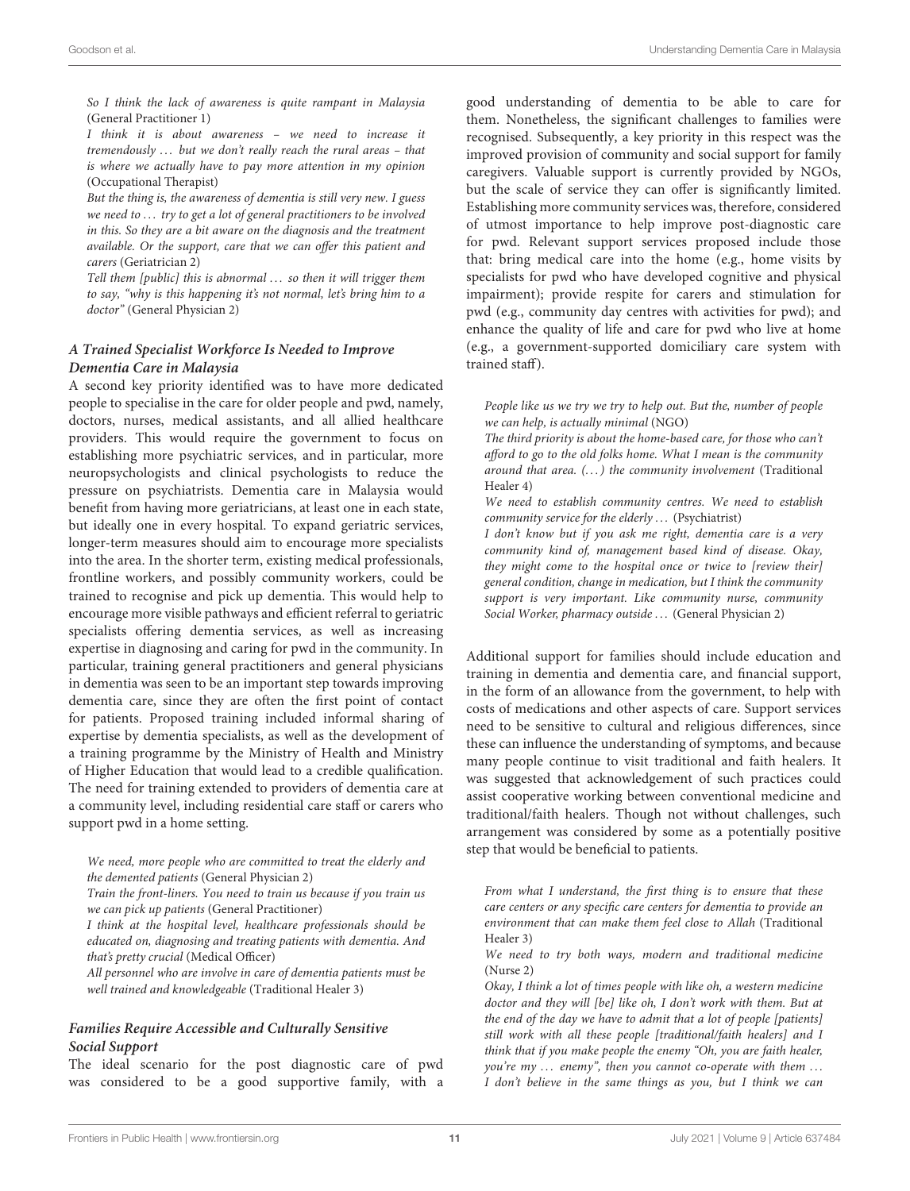So I think the lack of awareness is quite rampant in Malaysia (General Practitioner 1)

I think it is about awareness – we need to increase it tremendously  $\ldots$  but we don't really reach the rural areas – that is where we actually have to pay more attention in my opinion (Occupational Therapist)

But the thing is, the awareness of dementia is still very new. I guess we need to ... try to get a lot of general practitioners to be involved in this. So they are a bit aware on the diagnosis and the treatment available. Or the support, care that we can offer this patient and carers (Geriatrician 2)

Tell them [public] this is abnormal ... so then it will trigger them to say, "why is this happening it's not normal, let's bring him to a doctor" (General Physician 2)

#### **A Trained Specialist Workforce Is Needed to Improve Dementia Care in Malaysia**

A second key priority identified was to have more dedicated people to specialise in the care for older people and pwd, namely, doctors, nurses, medical assistants, and all allied healthcare providers. This would require the government to focus on establishing more psychiatric services, and in particular, more neuropsychologists and clinical psychologists to reduce the pressure on psychiatrists. Dementia care in Malaysia would benefit from having more geriatricians, at least one in each state, but ideally one in every hospital. To expand geriatric services, longer-term measures should aim to encourage more specialists into the area. In the shorter term, existing medical professionals, frontline workers, and possibly community workers, could be trained to recognise and pick up dementia. This would help to encourage more visible pathways and efficient referral to geriatric specialists offering dementia services, as well as increasing expertise in diagnosing and caring for pwd in the community. In particular, training general practitioners and general physicians in dementia was seen to be an important step towards improving dementia care, since they are often the first point of contact for patients. Proposed training included informal sharing of expertise by dementia specialists, as well as the development of a training programme by the Ministry of Health and Ministry of Higher Education that would lead to a credible qualification. The need for training extended to providers of dementia care at a community level, including residential care staff or carers who support pwd in a home setting.

We need, more people who are committed to treat the elderly and the demented patients (General Physician 2)

Train the front-liners. You need to train us because if you train us we can pick up patients (General Practitioner)

I think at the hospital level, healthcare professionals should be educated on, diagnosing and treating patients with dementia. And that's pretty crucial (Medical Officer)

All personnel who are involve in care of dementia patients must be well trained and knowledgeable (Traditional Healer 3)

#### **Families Require Accessible and Culturally Sensitive Social Support**

The ideal scenario for the post diagnostic care of pwd was considered to be a good supportive family, with a good understanding of dementia to be able to care for them. Nonetheless, the significant challenges to families were recognised. Subsequently, a key priority in this respect was the improved provision of community and social support for family caregivers. Valuable support is currently provided by NGOs, but the scale of service they can offer is significantly limited. Establishing more community services was, therefore, considered of utmost importance to help improve post-diagnostic care for pwd. Relevant support services proposed include those that: bring medical care into the home (e.g., home visits by specialists for pwd who have developed cognitive and physical impairment); provide respite for carers and stimulation for pwd (e.g., community day centres with activities for pwd); and enhance the quality of life and care for pwd who live at home (e.g., a government-supported domiciliary care system with trained staff).

People like us we try we try to help out. But the, number of people we can help, is actually minimal (NGO)

The third priority is about the home-based care, for those who can't afford to go to the old folks home. What I mean is the community around that area. (...) the community involvement (Traditional Healer 4)

We need to establish community centres. We need to establish community service for the elderly ... (Psychiatrist)

I don't know but if you ask me right, dementia care is a very community kind of, management based kind of disease. Okay, they might come to the hospital once or twice to [review their] general condition, change in medication, but I think the community support is very important. Like community nurse, community Social Worker, pharmacy outside ... (General Physician 2)

Additional support for families should include education and training in dementia and dementia care, and financial support, in the form of an allowance from the government, to help with costs of medications and other aspects of care. Support services need to be sensitive to cultural and religious differences, since these can influence the understanding of symptoms, and because many people continue to visit traditional and faith healers. It was suggested that acknowledgement of such practices could assist cooperative working between conventional medicine and traditional/faith healers. Though not without challenges, such arrangement was considered by some as a potentially positive step that would be beneficial to patients.

From what I understand, the first thing is to ensure that these care centers or any specific care centers for dementia to provide an environment that can make them feel close to Allah (Traditional Healer 3)

We need to try both ways, modern and traditional medicine (Nurse 2)

Okay, I think a lot of times people with like oh, a western medicine doctor and they will [be] like oh, I don't work with them. But at the end of the day we have to admit that a lot of people [patients] still work with all these people [traditional/faith healers] and I think that if you make people the enemy "Oh, you are faith healer, you're my ... enemy", then you cannot co-operate with them ... I don't believe in the same things as you, but I think we can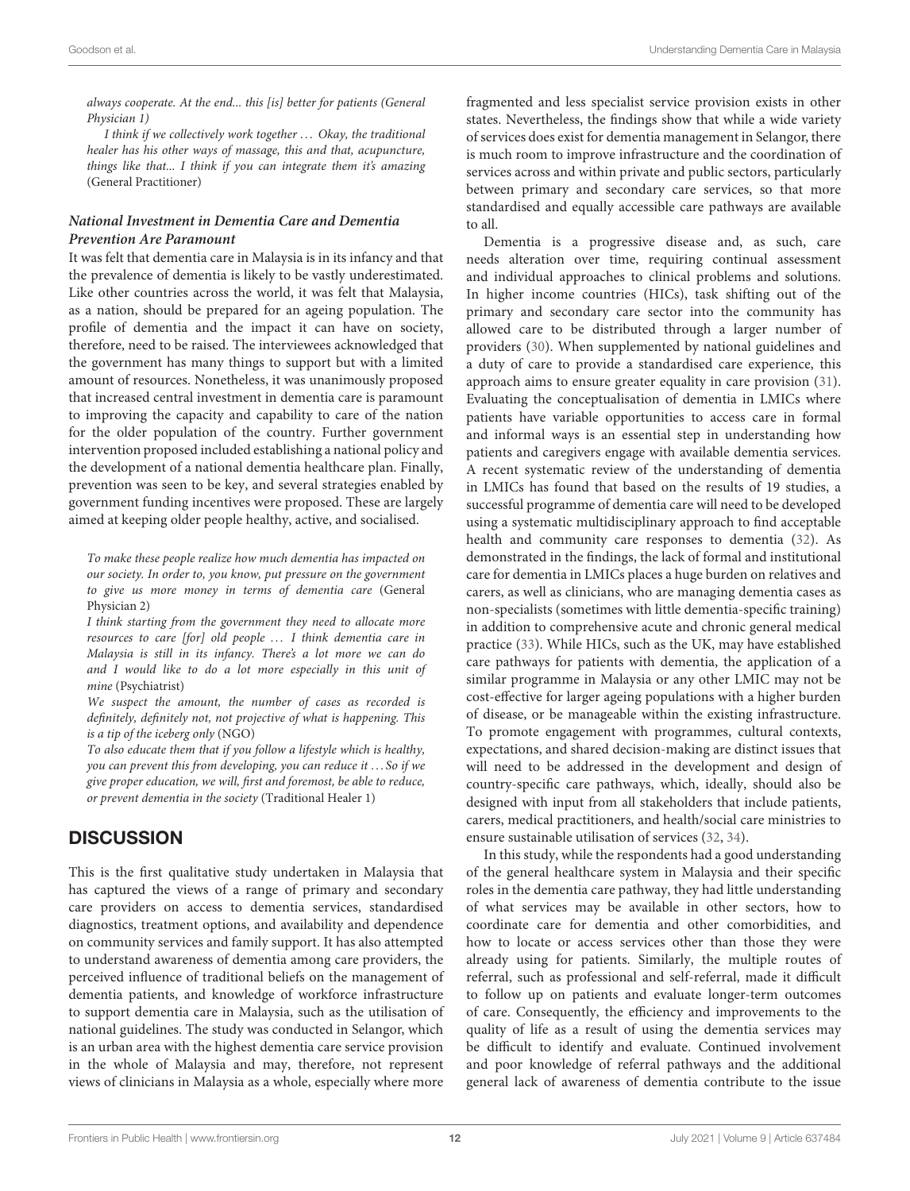always cooperate. At the end... this [is] better for patients (General Physician 1)

I think if we collectively work together ... Okay, the traditional healer has his other ways of massage, this and that, acupuncture, things like that... I think if you can integrate them it's amazing (General Practitioner)

#### **National Investment in Dementia Care and Dementia Prevention Are Paramount**

It was felt that dementia care in Malaysia is in its infancy and that the prevalence of dementia is likely to be vastly underestimated. Like other countries across the world, it was felt that Malaysia, as a nation, should be prepared for an ageing population. The profile of dementia and the impact it can have on society, therefore, need to be raised. The interviewees acknowledged that the government has many things to support but with a limited amount of resources. Nonetheless, it was unanimously proposed that increased central investment in dementia care is paramount to improving the capacity and capability to care of the nation for the older population of the country. Further government intervention proposed included establishing a national policy and the development of a national dementia healthcare plan. Finally, prevention was seen to be key, and several strategies enabled by government funding incentives were proposed. These are largely aimed at keeping older people healthy, active, and socialised.

To make these people realize how much dementia has impacted on our society. In order to, you know, put pressure on the government to give us more money in terms of dementia care (General Physician 2)

I think starting from the government they need to allocate more resources to care [for] old people ... I think dementia care in Malaysia is still in its infancy. There's a lot more we can do and I would like to do a lot more especially in this unit of mine (Psychiatrist)

We suspect the amount, the number of cases as recorded is definitely, definitely not, not projective of what is happening. This is a tip of the iceberg only (NGO)

To also educate them that if you follow a lifestyle which is healthy, you can prevent this from developing, you can reduce it . . . So if we give proper education, we will, first and foremost, be able to reduce, or prevent dementia in the society (Traditional Healer 1)

### **DISCUSSION**

This is the first qualitative study undertaken in Malaysia that has captured the views of a range of primary and secondary care providers on access to dementia services, standardised diagnostics, treatment options, and availability and dependence on community services and family support. It has also attempted to understand awareness of dementia among care providers, the perceived influence of traditional beliefs on the management of dementia patients, and knowledge of workforce infrastructure to support dementia care in Malaysia, such as the utilisation of national guidelines. The study was conducted in Selangor, which is an urban area with the highest dementia care service provision in the whole of Malaysia and may, therefore, not represent views of clinicians in Malaysia as a whole, especially where more fragmented and less specialist service provision exists in other states. Nevertheless, the findings show that while a wide variety of services does exist for dementia management in Selangor, there is much room to improve infrastructure and the coordination of services across and within private and public sectors, particularly between primary and secondary care services, so that more standardised and equally accessible care pathways are available to all.

Dementia is a progressive disease and, as such, care needs alteration over time, requiring continual assessment and individual approaches to clinical problems and solutions. In higher income countries (HICs), task shifting out of the primary and secondary care sector into the community has allowed care to be distributed through a larger number of providers [\(30\)](#page-14-22). When supplemented by national guidelines and a duty of care to provide a standardised care experience, this approach aims to ensure greater equality in care provision [\(31\)](#page-14-23). Evaluating the conceptualisation of dementia in LMICs where patients have variable opportunities to access care in formal and informal ways is an essential step in understanding how patients and caregivers engage with available dementia services. A recent systematic review of the understanding of dementia in LMICs has found that based on the results of 19 studies, a successful programme of dementia care will need to be developed using a systematic multidisciplinary approach to find acceptable health and community care responses to dementia [\(32\)](#page-14-24). As demonstrated in the findings, the lack of formal and institutional care for dementia in LMICs places a huge burden on relatives and carers, as well as clinicians, who are managing dementia cases as non-specialists (sometimes with little dementia-specific training) in addition to comprehensive acute and chronic general medical practice [\(33\)](#page-14-25). While HICs, such as the UK, may have established care pathways for patients with dementia, the application of a similar programme in Malaysia or any other LMIC may not be cost-effective for larger ageing populations with a higher burden of disease, or be manageable within the existing infrastructure. To promote engagement with programmes, cultural contexts, expectations, and shared decision-making are distinct issues that will need to be addressed in the development and design of country-specific care pathways, which, ideally, should also be designed with input from all stakeholders that include patients, carers, medical practitioners, and health/social care ministries to ensure sustainable utilisation of services [\(32,](#page-14-24) [34\)](#page-14-26).

In this study, while the respondents had a good understanding of the general healthcare system in Malaysia and their specific roles in the dementia care pathway, they had little understanding of what services may be available in other sectors, how to coordinate care for dementia and other comorbidities, and how to locate or access services other than those they were already using for patients. Similarly, the multiple routes of referral, such as professional and self-referral, made it difficult to follow up on patients and evaluate longer-term outcomes of care. Consequently, the efficiency and improvements to the quality of life as a result of using the dementia services may be difficult to identify and evaluate. Continued involvement and poor knowledge of referral pathways and the additional general lack of awareness of dementia contribute to the issue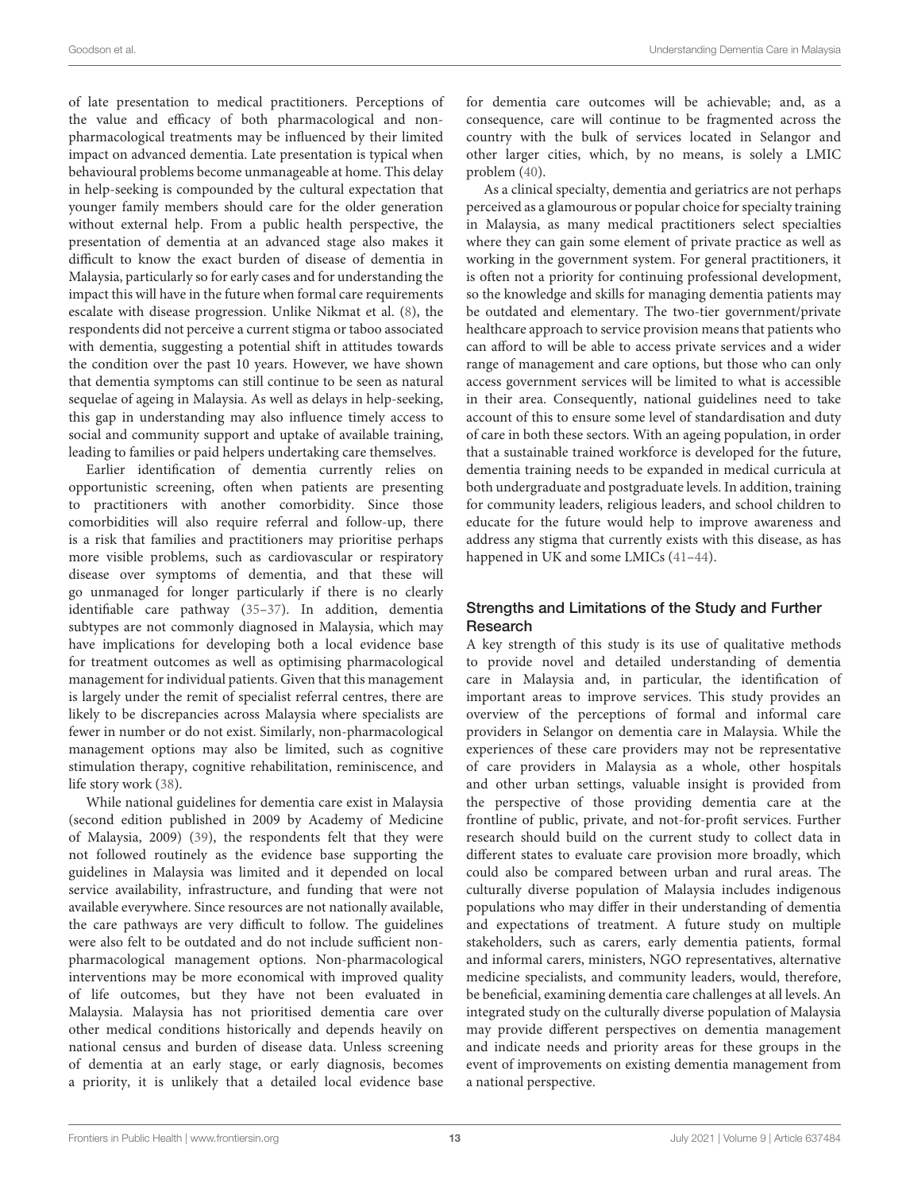of late presentation to medical practitioners. Perceptions of the value and efficacy of both pharmacological and nonpharmacological treatments may be influenced by their limited impact on advanced dementia. Late presentation is typical when behavioural problems become unmanageable at home. This delay in help-seeking is compounded by the cultural expectation that younger family members should care for the older generation without external help. From a public health perspective, the presentation of dementia at an advanced stage also makes it difficult to know the exact burden of disease of dementia in Malaysia, particularly so for early cases and for understanding the impact this will have in the future when formal care requirements escalate with disease progression. Unlike Nikmat et al. [\(8\)](#page-14-1), the respondents did not perceive a current stigma or taboo associated with dementia, suggesting a potential shift in attitudes towards the condition over the past 10 years. However, we have shown that dementia symptoms can still continue to be seen as natural sequelae of ageing in Malaysia. As well as delays in help-seeking, this gap in understanding may also influence timely access to social and community support and uptake of available training, leading to families or paid helpers undertaking care themselves.

Earlier identification of dementia currently relies on opportunistic screening, often when patients are presenting to practitioners with another comorbidity. Since those comorbidities will also require referral and follow-up, there is a risk that families and practitioners may prioritise perhaps more visible problems, such as cardiovascular or respiratory disease over symptoms of dementia, and that these will go unmanaged for longer particularly if there is no clearly identifiable care pathway [\(35–](#page-14-27)[37\)](#page-14-28). In addition, dementia subtypes are not commonly diagnosed in Malaysia, which may have implications for developing both a local evidence base for treatment outcomes as well as optimising pharmacological management for individual patients. Given that this management is largely under the remit of specialist referral centres, there are likely to be discrepancies across Malaysia where specialists are fewer in number or do not exist. Similarly, non-pharmacological management options may also be limited, such as cognitive stimulation therapy, cognitive rehabilitation, reminiscence, and life story work [\(38\)](#page-14-29).

While national guidelines for dementia care exist in Malaysia (second edition published in 2009 by Academy of Medicine of Malaysia, 2009) [\(39\)](#page-14-30), the respondents felt that they were not followed routinely as the evidence base supporting the guidelines in Malaysia was limited and it depended on local service availability, infrastructure, and funding that were not available everywhere. Since resources are not nationally available, the care pathways are very difficult to follow. The guidelines were also felt to be outdated and do not include sufficient nonpharmacological management options. Non-pharmacological interventions may be more economical with improved quality of life outcomes, but they have not been evaluated in Malaysia. Malaysia has not prioritised dementia care over other medical conditions historically and depends heavily on national census and burden of disease data. Unless screening of dementia at an early stage, or early diagnosis, becomes a priority, it is unlikely that a detailed local evidence base for dementia care outcomes will be achievable; and, as a consequence, care will continue to be fragmented across the country with the bulk of services located in Selangor and other larger cities, which, by no means, is solely a LMIC problem [\(40\)](#page-14-31).

As a clinical specialty, dementia and geriatrics are not perhaps perceived as a glamourous or popular choice for specialty training in Malaysia, as many medical practitioners select specialties where they can gain some element of private practice as well as working in the government system. For general practitioners, it is often not a priority for continuing professional development, so the knowledge and skills for managing dementia patients may be outdated and elementary. The two-tier government/private healthcare approach to service provision means that patients who can afford to will be able to access private services and a wider range of management and care options, but those who can only access government services will be limited to what is accessible in their area. Consequently, national guidelines need to take account of this to ensure some level of standardisation and duty of care in both these sectors. With an ageing population, in order that a sustainable trained workforce is developed for the future, dementia training needs to be expanded in medical curricula at both undergraduate and postgraduate levels. In addition, training for community leaders, religious leaders, and school children to educate for the future would help to improve awareness and address any stigma that currently exists with this disease, as has happened in UK and some LMICs (41-[44\)](#page-14-33).

### Strengths and Limitations of the Study and Further Research

A key strength of this study is its use of qualitative methods to provide novel and detailed understanding of dementia care in Malaysia and, in particular, the identification of important areas to improve services. This study provides an overview of the perceptions of formal and informal care providers in Selangor on dementia care in Malaysia. While the experiences of these care providers may not be representative of care providers in Malaysia as a whole, other hospitals and other urban settings, valuable insight is provided from the perspective of those providing dementia care at the frontline of public, private, and not-for-profit services. Further research should build on the current study to collect data in different states to evaluate care provision more broadly, which could also be compared between urban and rural areas. The culturally diverse population of Malaysia includes indigenous populations who may differ in their understanding of dementia and expectations of treatment. A future study on multiple stakeholders, such as carers, early dementia patients, formal and informal carers, ministers, NGO representatives, alternative medicine specialists, and community leaders, would, therefore, be beneficial, examining dementia care challenges at all levels. An integrated study on the culturally diverse population of Malaysia may provide different perspectives on dementia management and indicate needs and priority areas for these groups in the event of improvements on existing dementia management from a national perspective.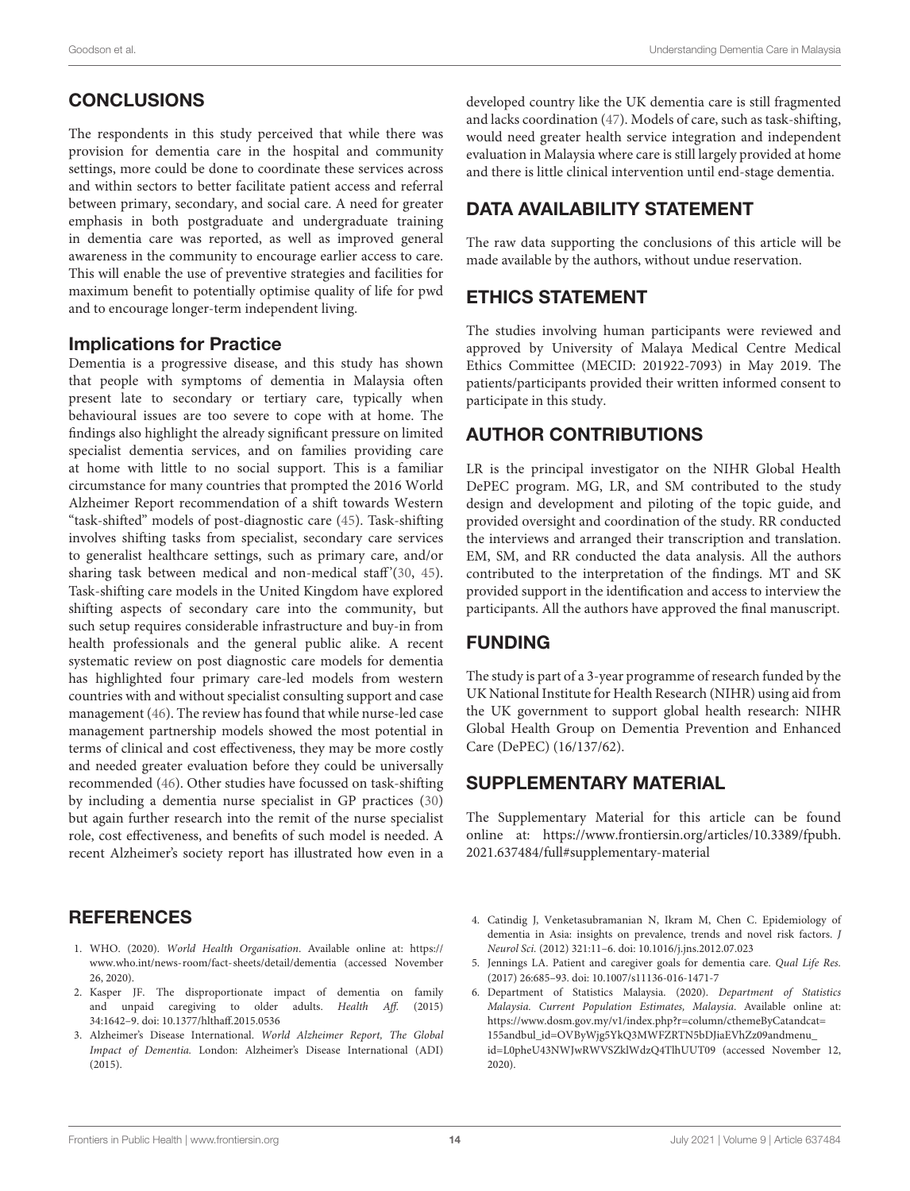# **CONCLUSIONS**

The respondents in this study perceived that while there was provision for dementia care in the hospital and community settings, more could be done to coordinate these services across and within sectors to better facilitate patient access and referral between primary, secondary, and social care. A need for greater emphasis in both postgraduate and undergraduate training in dementia care was reported, as well as improved general awareness in the community to encourage earlier access to care. This will enable the use of preventive strategies and facilities for maximum benefit to potentially optimise quality of life for pwd and to encourage longer-term independent living.

### Implications for Practice

Dementia is a progressive disease, and this study has shown that people with symptoms of dementia in Malaysia often present late to secondary or tertiary care, typically when behavioural issues are too severe to cope with at home. The findings also highlight the already significant pressure on limited specialist dementia services, and on families providing care at home with little to no social support. This is a familiar circumstance for many countries that prompted the 2016 World Alzheimer Report recommendation of a shift towards Western "task-shifted" models of post-diagnostic care [\(45\)](#page-14-34). Task-shifting involves shifting tasks from specialist, secondary care services to generalist healthcare settings, such as primary care, and/or sharing task between medical and non-medical staff'[\(30,](#page-14-22) [45\)](#page-14-34). Task-shifting care models in the United Kingdom have explored shifting aspects of secondary care into the community, but such setup requires considerable infrastructure and buy-in from health professionals and the general public alike. A recent systematic review on post diagnostic care models for dementia has highlighted four primary care-led models from western countries with and without specialist consulting support and case management [\(46\)](#page-14-35). The review has found that while nurse-led case management partnership models showed the most potential in terms of clinical and cost effectiveness, they may be more costly and needed greater evaluation before they could be universally recommended [\(46\)](#page-14-35). Other studies have focussed on task-shifting by including a dementia nurse specialist in GP practices [\(30\)](#page-14-22) but again further research into the remit of the nurse specialist role, cost effectiveness, and benefits of such model is needed. A recent Alzheimer's society report has illustrated how even in a

# **REFERENCES**

- <span id="page-13-0"></span>1. WHO. (2020). World Health Organisation. Available online at: [https://](https://www.who.int/news-room/fact-sheets/detail/dementia) [www.who.int/news-room/fact-sheets/detail/dementia](https://www.who.int/news-room/fact-sheets/detail/dementia) (accessed November 26, 2020).
- <span id="page-13-1"></span>2. Kasper JF. The disproportionate impact of dementia on family and unpaid caregiving to older adults. Health Aff. (2015) 34:1642–9. doi: [10.1377/hlthaff.2015.0536](https://doi.org/10.1377/hlthaff.2015.0536)
- <span id="page-13-2"></span>3. Alzheimer's Disease International. World Alzheimer Report, The Global Impact of Dementia. London: Alzheimer's Disease International (ADI) (2015).

developed country like the UK dementia care is still fragmented and lacks coordination [\(47\)](#page-14-36). Models of care, such as task-shifting, would need greater health service integration and independent evaluation in Malaysia where care is still largely provided at home and there is little clinical intervention until end-stage dementia.

# DATA AVAILABILITY STATEMENT

The raw data supporting the conclusions of this article will be made available by the authors, without undue reservation.

# ETHICS STATEMENT

The studies involving human participants were reviewed and approved by University of Malaya Medical Centre Medical Ethics Committee (MECID: 201922-7093) in May 2019. The patients/participants provided their written informed consent to participate in this study.

# AUTHOR CONTRIBUTIONS

LR is the principal investigator on the NIHR Global Health DePEC program. MG, LR, and SM contributed to the study design and development and piloting of the topic guide, and provided oversight and coordination of the study. RR conducted the interviews and arranged their transcription and translation. EM, SM, and RR conducted the data analysis. All the authors contributed to the interpretation of the findings. MT and SK provided support in the identification and access to interview the participants. All the authors have approved the final manuscript.

### FUNDING

The study is part of a 3-year programme of research funded by the UK National Institute for Health Research (NIHR) using aid from the UK government to support global health research: NIHR Global Health Group on Dementia Prevention and Enhanced Care (DePEC) (16/137/62).

### SUPPLEMENTARY MATERIAL

<span id="page-13-6"></span>The Supplementary Material for this article can be found [online at: https://www.frontiersin.org/articles/10.3389/fpubh.](https://www.frontiersin.org/articles/10.3389/fpubh.2021.637484/full#supplementary-material) 2021.637484/full#supplementary-material

- <span id="page-13-3"></span>4. Catindig J, Venketasubramanian N, Ikram M, Chen C. Epidemiology of dementia in Asia: insights on prevalence, trends and novel risk factors. J Neurol Sci. (2012) 321:11–6. doi: [10.1016/j.jns.2012.07.023](https://doi.org/10.1016/j.jns.2012.07.023)
- <span id="page-13-4"></span>5. Jennings LA. Patient and caregiver goals for dementia care. Qual Life Res. (2017) 26:685–93. doi: [10.1007/s11136-016-1471-7](https://doi.org/10.1007/s11136-016-1471-7)
- <span id="page-13-5"></span>6. Department of Statistics Malaysia. (2020). Department of Statistics Malaysia. Current Population Estimates, Malaysia. Available online at: [https://www.dosm.gov.my/v1/index.php?r=column/cthemeByCatandcat=](https://www.dosm.gov.my/v1/index.php?r=column/cthemeByCatandcat=155andbul_id=OVByWjg5YkQ3MWFZRTN5bDJiaEVhZz09andmenu_id=L0pheU43NWJwRWVSZklWdzQ4TlhUUT09) [155andbul\\_id=OVByWjg5YkQ3MWFZRTN5bDJiaEVhZz09andmenu\\_](https://www.dosm.gov.my/v1/index.php?r=column/cthemeByCatandcat=155andbul_id=OVByWjg5YkQ3MWFZRTN5bDJiaEVhZz09andmenu_id=L0pheU43NWJwRWVSZklWdzQ4TlhUUT09) [id=L0pheU43NWJwRWVSZklWdzQ4TlhUUT09](https://www.dosm.gov.my/v1/index.php?r=column/cthemeByCatandcat=155andbul_id=OVByWjg5YkQ3MWFZRTN5bDJiaEVhZz09andmenu_id=L0pheU43NWJwRWVSZklWdzQ4TlhUUT09) (accessed November 12, 2020).